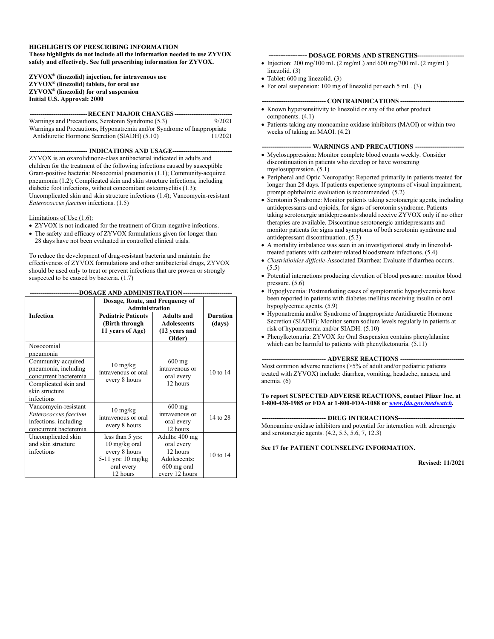#### **HIGHLIGHTS OF PRESCRIBING INFORMATION**

**These highlights do not include all the information needed to use ZYVOX safely and effectively. See full prescribing information for ZYVOX.**

**ZYVOX® (linezolid) injection, for intravenous use ZYVOX® (linezolid) tablets, for oral use ZYVOX® (linezolid) for oral suspension Initial U.S. Approval: 2000**

**--RECENT MAJOR CHANGES** 

Warnings and Precautions, Serotonin Syndrome (5.3) 9/2021 Warnings and Precautions, Hyponatremia and/or Syndrome of Inappropriate Antidiuretic Hormone Secretion (SIADH) (5.10) 11/2021

**--------------------------- INDICATIONS AND USAGE----------------------------**

ZYVOX is an oxazolidinone-class antibacterial indicated in adults and children for the treatment of the following infections caused by susceptible Gram-positive bacteria: Nosocomial pneumonia (1.1); Community-acquired pneumonia (1.2); Complicated skin and skin structure infections, including diabetic foot infections, without concomitant osteomyelitis (1.3); Uncomplicated skin and skin structure infections (1.4); Vancomycin-resistant *Enterococcus faecium* infections. (1.5)

#### Limitations of Use (1.6):

- ZYVOX is not indicated for the treatment of Gram-negative infections.
- The safety and efficacy of ZYVOX formulations given for longer than 28 days have not been evaluated in controlled clinical trials.

To reduce the development of drug-resistant bacteria and maintain the effectiveness of ZYVOX formulations and other antibacterial drugs, ZYVOX should be used only to treat or prevent infections that are proven or strongly suspected to be caused by bacteria.  $(1.7)$ 

|                                                                                                                                                        | Dosage, Route, and Frequency of<br><b>Administration</b>                                           |                                                                                           |                           |
|--------------------------------------------------------------------------------------------------------------------------------------------------------|----------------------------------------------------------------------------------------------------|-------------------------------------------------------------------------------------------|---------------------------|
| <b>Infection</b>                                                                                                                                       | <b>Pediatric Patients</b><br>(Birth through)<br>11 years of Age)                                   | <b>Adults and</b><br><b>Adolescents</b><br>(12 years and<br>Older)                        | <b>Duration</b><br>(days) |
| Nosocomial<br>pneumonia<br>Community-acquired<br>pneumonia, including<br>concurrent bacteremia<br>Complicated skin and<br>skin structure<br>infections | $10 \frac{\text{mg}}{\text{kg}}$<br>intravenous or oral<br>every 8 hours                           | $600 \text{ mg}$<br>intravenous or<br>oral every<br>12 hours                              | 10 to 14                  |
| Vancomycin-resistant<br>Enterococcus faecium<br>infections, including<br>concurrent bacteremia                                                         | $10 \frac{\text{mg}}{\text{kg}}$<br>intravenous or oral<br>every 8 hours                           | $600$ mg<br>intravenous or<br>oral every<br>12 hours                                      | 14 to 28                  |
| Uncomplicated skin<br>and skin structure<br>infections                                                                                                 | less than 5 yrs:<br>10 mg/kg oral<br>every 8 hours<br>5-11 yrs: 10 mg/kg<br>oral every<br>12 hours | Adults: 400 mg<br>oral every<br>12 hours<br>Adolescents:<br>600 mg oral<br>every 12 hours | 10 to 14                  |

#### **-----------------------DOSAGE AND ADMINISTRATION-----------------------**

#### **---------------- DOSAGE FORMS AND STRENGTHS----------------------**

• Injection: 200 mg/100 mL (2 mg/mL) and 600 mg/300 mL (2 mg/mL) linezolid. (3)

#### Tablet: 600 mg linezolid. (3) • For oral suspension: 100 mg of linezolid per each 5 mL. (3)

#### $-$  **CONTRAINDICATIONS**  $-$

- Known hypersensitivity to linezolid or any of the other product components. (4.1)
- Patients taking any monoamine oxidase inhibitors (MAOI) or within two weeks of taking an MAOI. (4.2)

#### **----------------------- WARNINGS AND PRECAUTIONS -----------------------**

- Myelosuppression: Monitor complete blood counts weekly. Consider discontinuation in patients who develop or have worsening myelosuppression. (5.1)
- Peripheral and Optic Neuropathy: Reported primarily in patients treated for longer than 28 days. If patients experience symptoms of visual impairment, prompt ophthalmic evaluation is recommended. (5.2)
- Serotonin Syndrome: Monitor patients taking serotonergic agents, including antidepressants and opioids, for signs of serotonin syndrome. Patients taking serotonergic antidepressants should receive ZYVOX only if no other therapies are available. Discontinue serotonergic antidepressants and monitor patients for signs and symptoms of both serotonin syndrome and antidepressant discontinuation. (5.3)
- A mortality imbalance was seen in an investigational study in linezolidtreated patients with catheter-related bloodstream infections. (5.4)
- *Clostridioides difficile-*Associated Diarrhea: Evaluate if diarrhea occurs. (5.5)
- Potential interactions producing elevation of blood pressure: monitor blood pressure. (5.6)
- Hypoglycemia: Postmarketing cases of symptomatic hypoglycemia have been reported in patients with diabetes mellitus receiving insulin or oral hypoglycemic agents. (5.9)
- Hyponatremia and/or Syndrome of Inappropriate Antidiuretic Hormone Secretion (SIADH): Monitor serum sodium levels regularly in patients at risk of hyponatremia and/or SIADH. (5.10)
- Phenylketonuria: ZYVOX for Oral Suspension contains phenylalanine which can be harmful to patients with phenylketonuria. (5.11)

**-- ADVERSE REACTIONS** 

Most common adverse reactions (>5% of adult and/or pediatric patients treated with ZYVOX) include: diarrhea, vomiting, headache, nausea, and anemia. (6)

**To report SUSPECTED ADVERSE REACTI[ONS, contact Pfizer Inc](http://www.fda.gov/medwatch). at 1-800-438-1985 or FDA at 1-800-FDA-1088 or** *www.fda.gov/medwatch.*

#### **------------------------------ DRUG INTERACTIONS-------------------------------**

Monoamine oxidase inhibitors and potential for interaction with adrenergic and serotonergic agents. (4.2, 5.3, 5.6, 7, 12.3)

#### **See 17 for PATIENT COUNSELING INFORMATION.**

**Revised: 11/2021**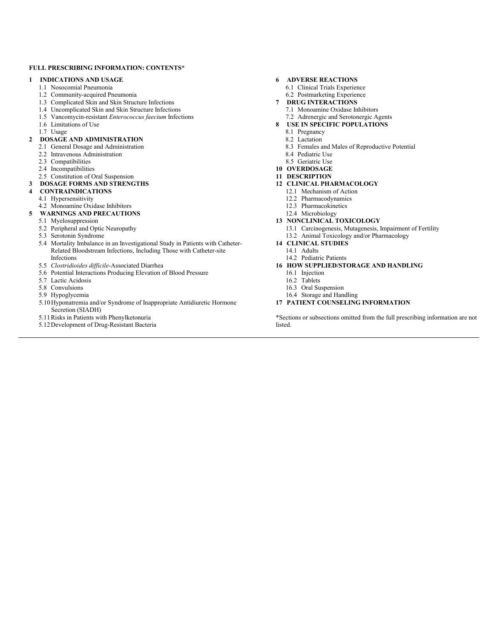#### **FULL PRESCRIBING INFORMATION: CONTENTS\***

#### **1 INDICATIONS AND USAGE**

- 1.1 Nosocomial Pneumonia
- 1.2 Community-acquired Pneumonia
- 1.3 Complicated Skin and Skin Structure Infections
- 1.4 Uncomplicated Skin and Skin Structure Infections
- 1.5 Vancomycin-resistant *Enterococcus faecium* Infections
- 1.6 Limitations of Use
- 1.7 Usage

#### **2 DOSAGE AND ADMINISTRATION**

- 2.1 General Dosage and Administration
- 2.2 Intravenous Administration
- 2.3 Compatibilities
- 2.4 Incompatibilities
- 2.5 Constitution of Oral Suspension
- **3 DOSAGE FORMS AND STRENGTHS**

#### **4 CONTRAINDICATIONS**

- 4.1 Hypersensitivity
- 4.2 Monoamine Oxidase Inhibitors
- **5 WARNINGS AND PRECAUTIONS**
	- 5.1 Myelosuppression
	- 5.2 Peripheral and Optic Neuropathy
	- 5.3 Serotonin Syndrome
	- 5.4 Mortality Imbalance in an Investigational Study in Patients with Catheter-Related Bloodstream Infections, Including Those with Catheter-site Infections
	- 5.5 *Clostridioides difficile*-Associated Diarrhea
	- 5.6 Potential Interactions Producing Elevation of Blood Pressure
	- 5.7 Lactic Acidosis
	- 5.8 Convulsions
	- 5.9 Hypoglycemia
	- 5.10Hyponatremia and/or Syndrome of Inappropriate Antidiuretic Hormone Secretion (SIADH)
	- 5.11Risks in Patients with Phenylketonuria
	- 5.12Development of Drug-Resistant Bacteria
- **6 ADVERSE REACTIONS**
	- 6.1 Clinical Trials Experience
	- 6.2 Postmarketing Experience
- **7 DRUG INTERACTIONS**
	- 7.1 Monoamine Oxidase Inhibitors
	- 7.2 Adrenergic and Serotonergic Agents
- **8 USE IN SPECIFIC POPULATIONS**
	- 8.1 Pregnancy
	- 8.2 Lactation
	- 8.3 Females and Males of Reproductive Potential
	- 8.4 Pediatric Use
	- 8.5 Geriatric Use
- **10 OVERDOSAGE**
- **11 DESCRIPTION**
- **12 CLINICAL PHARMACOLOGY**
	- 12.1 Mechanism of Action
	- 12.2 Pharmacodynamics
	- 12.3 Pharmacokinetics
	- 12.4 Microbiology
- **13 NONCLINICAL TOXICOLOGY**
	- 13.1 Carcinogenesis, Mutagenesis, Impairment of Fertility 13.2 Animal Toxicology and/or Pharmacology
- **14 CLINICAL STUDIES**
	- 14.1 Adults
	- 14.2 Pediatric Patients
- **16 HOW SUPPLIED/STORAGE AND HANDLING**
	- 16.1 Injection
	- 16.2 Tablets
	- 16.3 Oral Suspension
	- 16.4 Storage and Handling
- **17 PATIENT COUNSELING INFORMATION**

\*Sections or subsections omitted from the full prescribing information are not listed.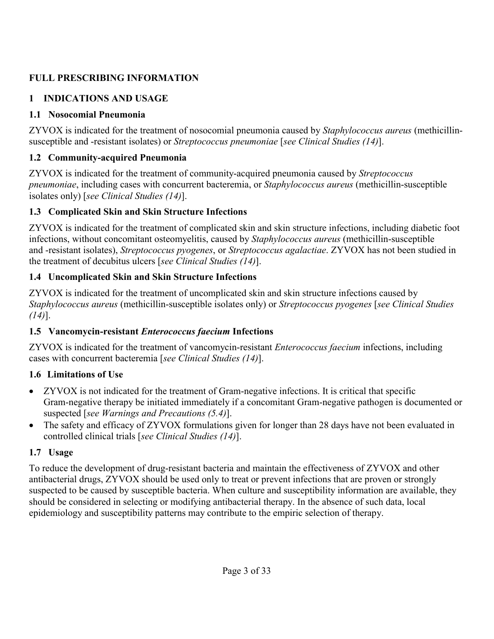### **FULL PRESCRIBING INFORMATION**

# **1 INDICATIONS AND USAGE**

# **1.1 Nosocomial Pneumonia**

ZYVOX is indicated for the treatment of nosocomial pneumonia caused by *Staphylococcus aureus* (methicillinsusceptible and -resistant isolates) or *Streptococcus pneumoniae* [*see Clinical Studies (14)*].

# **1.2 Community-acquired Pneumonia**

ZYVOX is indicated for the treatment of community-acquired pneumonia caused by *Streptococcus pneumoniae*, including cases with concurrent bacteremia, or *Staphylococcus aureus* (methicillin-susceptible isolates only) [*see Clinical Studies (14)*].

# **1.3 Complicated Skin and Skin Structure Infections**

ZYVOX is indicated for the treatment of complicated skin and skin structure infections, including diabetic foot infections, without concomitant osteomyelitis, caused by *Staphylococcus aureus* (methicillin-susceptible and -resistant isolates), *Streptococcus pyogenes*, or *Streptococcus agalactiae*. ZYVOX has not been studied in the treatment of decubitus ulcers [*see Clinical Studies (14)*].

# **1.4 Uncomplicated Skin and Skin Structure Infections**

ZYVOX is indicated for the treatment of uncomplicated skin and skin structure infections caused by *Staphylococcus aureus* (methicillin-susceptible isolates only) or *Streptococcus pyogenes* [*see Clinical Studies (14)*].

# **1.5 Vancomycin-resistant** *Enterococcus faecium* **Infections**

ZYVOX is indicated for the treatment of vancomycin-resistant *Enterococcus faecium* infections, including cases with concurrent bacteremia [*see Clinical Studies (14)*].

# **1.6 Limitations of Use**

- ZYVOX is not indicated for the treatment of Gram-negative infections. It is critical that specific Gram-negative therapy be initiated immediately if a concomitant Gram-negative pathogen is documented or suspected [*see Warnings and Precautions (5.4)*].
- The safety and efficacy of ZYVOX formulations given for longer than 28 days have not been evaluated in controlled clinical trials [*see Clinical Studies (14)*].

# **1.7 Usage**

To reduce the development of drug-resistant bacteria and maintain the effectiveness of ZYVOX and other antibacterial drugs, ZYVOX should be used only to treat or prevent infections that are proven or strongly suspected to be caused by susceptible bacteria. When culture and susceptibility information are available, they should be considered in selecting or modifying antibacterial therapy. In the absence of such data, local epidemiology and susceptibility patterns may contribute to the empiric selection of therapy.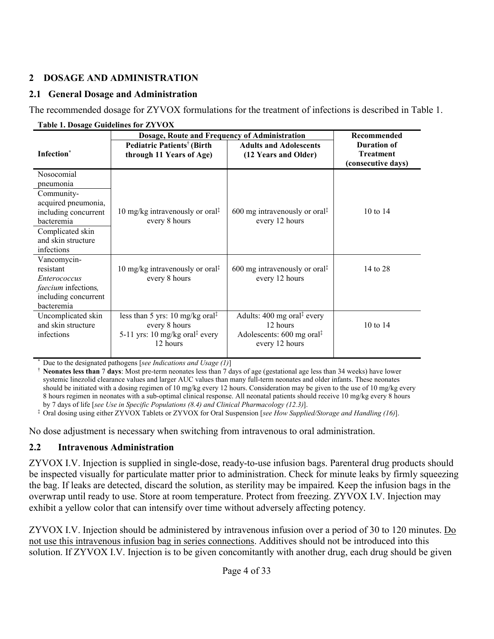### **2 DOSAGE AND ADMINISTRATION**

### **2.1 General Dosage and Administration**

The recommended dosage for ZYVOX formulations for the treatment of infections is described in Table 1.

|                                                                                                              | Dosage, Route and Frequency of Administration                                                                                              | Recommended                                                                                                                       |                                                              |
|--------------------------------------------------------------------------------------------------------------|--------------------------------------------------------------------------------------------------------------------------------------------|-----------------------------------------------------------------------------------------------------------------------------------|--------------------------------------------------------------|
| Infection <sup>*</sup>                                                                                       | Pediatric Patients <sup>†</sup> (Birth<br>through 11 Years of Age)                                                                         | <b>Adults and Adolescents</b><br>(12 Years and Older)                                                                             | <b>Duration of</b><br><b>Treatment</b><br>(consecutive days) |
| Nosocomial<br>pneumonia                                                                                      |                                                                                                                                            |                                                                                                                                   |                                                              |
| Community-<br>acquired pneumonia,<br>including concurrent<br>bacteremia                                      | 10 mg/kg intravenously or oral <sup>‡</sup><br>every 8 hours                                                                               | 600 mg intravenously or oral <sup><math>\ddagger</math></sup><br>every 12 hours                                                   | 10 to 14                                                     |
| Complicated skin<br>and skin structure<br>infections                                                         |                                                                                                                                            |                                                                                                                                   |                                                              |
| Vancomycin-<br>resistant<br><i>Enterococcus</i><br>faecium infections,<br>including concurrent<br>bacteremia | 10 mg/kg intravenously or oral <sup><math>\ddagger</math></sup><br>every 8 hours                                                           | 600 mg intravenously or oral <sup><math>\ddagger</math></sup><br>every 12 hours                                                   | 14 to 28                                                     |
| Uncomplicated skin<br>and skin structure<br>infections                                                       | less than 5 yrs: 10 mg/kg oral <sup><math>\ddagger</math></sup><br>every 8 hours<br>5-11 yrs: 10 mg/kg oral <sup>‡</sup> every<br>12 hours | Adults: $400 \text{ mg}$ oral <sup>‡</sup> every<br>12 hours<br>Adolescents: $600 \text{ mg}$ oral <sup>‡</sup><br>every 12 hours | 10 to 14                                                     |

**Table 1. Dosage Guidelines for ZYVOX**

Due to the designated pathogens [see Indications and Usage (1)]

† **Neonates less than** 7 **days**: Most pre-term neonates less than 7 days of age (gestational age less than 34 weeks) have lower systemic linezolid clearance values and larger AUC values than many full-term neonates and older infants. These neonates should be initiated with a dosing regimen of 10 mg/kg every 12 hours. Consideration may be given to the use of 10 mg/kg every 8 hours regimen in neonates with a sub-optimal clinical response. All neonatal patients should receive 10 mg/kg every 8 hours by 7 days of life [*see Use in Specific Populations (8.4) and Clinical Pharmacology (12.3)*].

‡ Oral dosing using either ZYVOX Tablets or ZYVOX for Oral Suspension [*see How Supplied/Storage and Handling (16)*].

No dose adjustment is necessary when switching from intravenous to oral administration.

### **2.2 Intravenous Administration**

ZYVOX I.V. Injection is supplied in single-dose, ready-to-use infusion bags. Parenteral drug products should be inspected visually for particulate matter prior to administration. Check for minute leaks by firmly squeezing the bag. If leaks are detected, discard the solution, as sterility may be impaired*.* Keep the infusion bags in the overwrap until ready to use. Store at room temperature. Protect from freezing. ZYVOX I.V. Injection may exhibit a yellow color that can intensify over time without adversely affecting potency.

ZYVOX I.V. Injection should be administered by intravenous infusion over a period of 30 to 120 minutes. Do not use this intravenous infusion bag in series connections. Additives should not be introduced into this solution. If ZYVOX I.V. Injection is to be given concomitantly with another drug, each drug should be given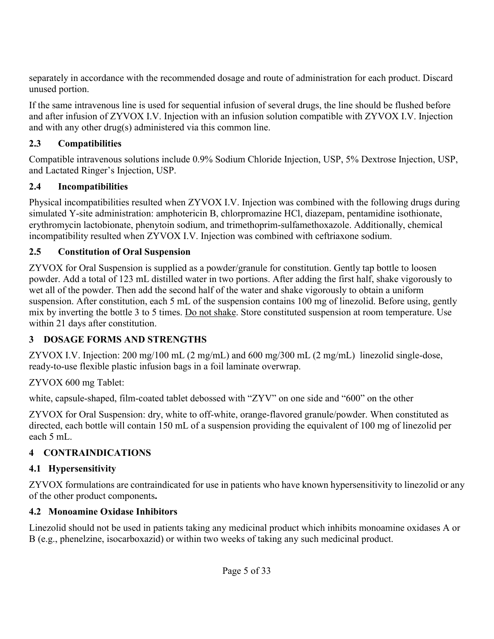separately in accordance with the recommended dosage and route of administration for each product. Discard unused portion.

If the same intravenous line is used for sequential infusion of several drugs, the line should be flushed before and after infusion of ZYVOX I.V. Injection with an infusion solution compatible with ZYVOX I.V. Injection and with any other drug(s) administered via this common line.

### **2.3 Compatibilities**

Compatible intravenous solutions include 0.9% Sodium Chloride Injection, USP, 5% Dextrose Injection, USP, and Lactated Ringer's Injection, USP.

# **2.4 Incompatibilities**

Physical incompatibilities resulted when ZYVOX I.V. Injection was combined with the following drugs during simulated Y-site administration: amphotericin B, chlorpromazine HCl, diazepam, pentamidine isothionate, erythromycin lactobionate, phenytoin sodium, and trimethoprim-sulfamethoxazole. Additionally, chemical incompatibility resulted when ZYVOX I.V. Injection was combined with ceftriaxone sodium.

### **2.5 Constitution of Oral Suspension**

ZYVOX for Oral Suspension is supplied as a powder/granule for constitution. Gently tap bottle to loosen powder. Add a total of 123 mL distilled water in two portions. After adding the first half, shake vigorously to wet all of the powder. Then add the second half of the water and shake vigorously to obtain a uniform suspension. After constitution, each 5 mL of the suspension contains 100 mg of linezolid. Before using, gently mix by inverting the bottle 3 to 5 times. Do not shake. Store constituted suspension at room temperature. Use within 21 days after constitution.

# **3 DOSAGE FORMS AND STRENGTHS**

ZYVOX I.V. Injection: 200 mg/100 mL (2 mg/mL) and 600 mg/300 mL (2 mg/mL) linezolid single-dose, ready-to-use flexible plastic infusion bags in a foil laminate overwrap.

# ZYVOX 600 mg Tablet:

white, capsule-shaped, film-coated tablet debossed with "ZYV" on one side and "600" on the other

ZYVOX for Oral Suspension: dry, white to off-white, orange-flavored granule/powder. When constituted as directed, each bottle will contain 150 mL of a suspension providing the equivalent of 100 mg of linezolid per each 5 mL.

# **4 CONTRAINDICATIONS**

# **4.1 Hypersensitivity**

ZYVOX formulations are contraindicated for use in patients who have known hypersensitivity to linezolid or any of the other product components**.**

# **4.2 Monoamine Oxidase Inhibitors**

Linezolid should not be used in patients taking any medicinal product which inhibits monoamine oxidases A or B (e.g., phenelzine, isocarboxazid) or within two weeks of taking any such medicinal product.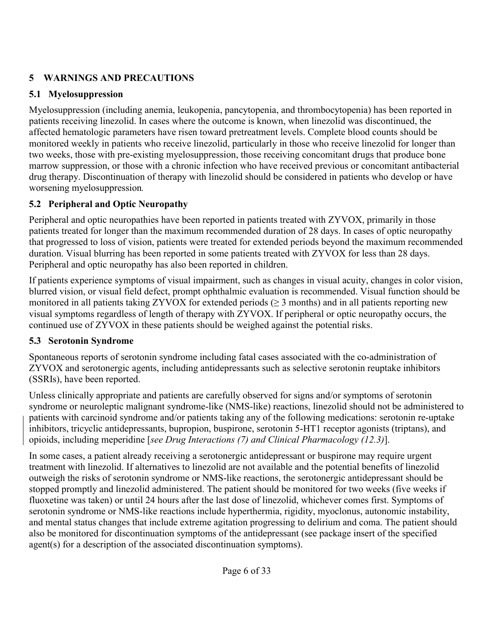### **5 WARNINGS AND PRECAUTIONS**

# **5.1 Myelosuppression**

Myelosuppression (including anemia, leukopenia, pancytopenia, and thrombocytopenia) has been reported in patients receiving linezolid. In cases where the outcome is known, when linezolid was discontinued, the affected hematologic parameters have risen toward pretreatment levels. Complete blood counts should be monitored weekly in patients who receive linezolid, particularly in those who receive linezolid for longer than two weeks, those with pre-existing myelosuppression, those receiving concomitant drugs that produce bone marrow suppression, or those with a chronic infection who have received previous or concomitant antibacterial drug therapy. Discontinuation of therapy with linezolid should be considered in patients who develop or have worsening myelosuppression*.*

# **5.2 Peripheral and Optic Neuropathy**

Peripheral and optic neuropathies have been reported in patients treated with ZYVOX, primarily in those patients treated for longer than the maximum recommended duration of 28 days. In cases of optic neuropathy that progressed to loss of vision, patients were treated for extended periods beyond the maximum recommended duration. Visual blurring has been reported in some patients treated with ZYVOX for less than 28 days. Peripheral and optic neuropathy has also been reported in children.

If patients experience symptoms of visual impairment, such as changes in visual acuity, changes in color vision, blurred vision, or visual field defect, prompt ophthalmic evaluation is recommended. Visual function should be monitored in all patients taking ZYVOX for extended periods (≥ 3 months) and in all patients reporting new visual symptoms regardless of length of therapy with ZYVOX. If peripheral or optic neuropathy occurs, the continued use of ZYVOX in these patients should be weighed against the potential risks.

# **5.3 Serotonin Syndrome**

Spontaneous reports of serotonin syndrome including fatal cases associated with the co-administration of ZYVOX and serotonergic agents, including antidepressants such as selective serotonin reuptake inhibitors (SSRIs), have been reported.

Unless clinically appropriate and patients are carefully observed for signs and/or symptoms of serotonin syndrome or neuroleptic malignant syndrome-like (NMS-like) reactions, linezolid should not be administered to patients with carcinoid syndrome and/or patients taking any of the following medications: serotonin re-uptake inhibitors, tricyclic antidepressants, bupropion, buspirone, serotonin 5-HT1 receptor agonists (triptans), and opioids, including meperidine [*see Drug Interactions (7) and Clinical Pharmacology (12.3)*].

In some cases, a patient already receiving a serotonergic antidepressant or buspirone may require urgent treatment with linezolid. If alternatives to linezolid are not available and the potential benefits of linezolid outweigh the risks of serotonin syndrome or NMS-like reactions, the serotonergic antidepressant should be stopped promptly and linezolid administered. The patient should be monitored for two weeks (five weeks if fluoxetine was taken) or until 24 hours after the last dose of linezolid, whichever comes first. Symptoms of serotonin syndrome or NMS-like reactions include hyperthermia, rigidity, myoclonus, autonomic instability, and mental status changes that include extreme agitation progressing to delirium and coma. The patient should also be monitored for discontinuation symptoms of the antidepressant (see package insert of the specified agent(s) for a description of the associated discontinuation symptoms).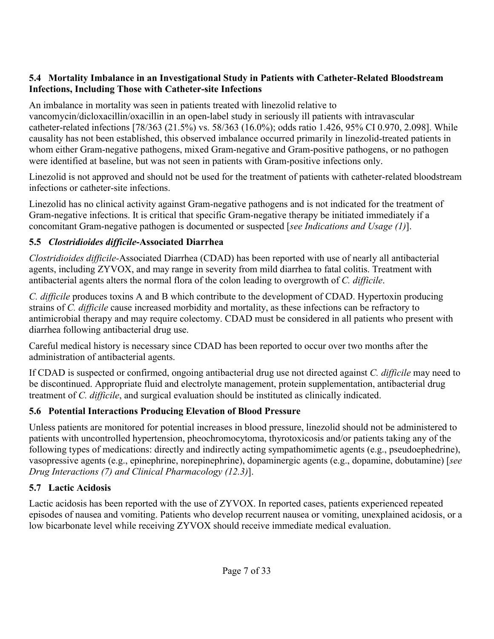### **5.4 Mortality Imbalance in an Investigational Study in Patients with Catheter-Related Bloodstream Infections, Including Those with Catheter-site Infections**

An imbalance in mortality was seen in patients treated with linezolid relative to vancomycin/dicloxacillin/oxacillin in an open-label study in seriously ill patients with intravascular catheter-related infections [78/363 (21.5%) vs. 58/363 (16.0%); odds ratio 1.426, 95% CI 0.970, 2.098]. While causality has not been established, this observed imbalance occurred primarily in linezolid-treated patients in whom either Gram-negative pathogens, mixed Gram-negative and Gram-positive pathogens, or no pathogen were identified at baseline, but was not seen in patients with Gram-positive infections only.

Linezolid is not approved and should not be used for the treatment of patients with catheter-related bloodstream infections or catheter-site infections.

Linezolid has no clinical activity against Gram-negative pathogens and is not indicated for the treatment of Gram-negative infections. It is critical that specific Gram-negative therapy be initiated immediately if a concomitant Gram-negative pathogen is documented or suspected [*see Indications and Usage (1)*].

### **5.5** *Clostridioides difficile***-Associated Diarrhea**

*Clostridioides difficile-*Associated Diarrhea (CDAD) has been reported with use of nearly all antibacterial agents, including ZYVOX, and may range in severity from mild diarrhea to fatal colitis. Treatment with antibacterial agents alters the normal flora of the colon leading to overgrowth of *C. difficile*.

*C. difficile* produces toxins A and B which contribute to the development of CDAD. Hypertoxin producing strains of *C. difficile* cause increased morbidity and mortality, as these infections can be refractory to antimicrobial therapy and may require colectomy. CDAD must be considered in all patients who present with diarrhea following antibacterial drug use.

Careful medical history is necessary since CDAD has been reported to occur over two months after the administration of antibacterial agents.

If CDAD is suspected or confirmed, ongoing antibacterial drug use not directed against *C. difficile* may need to be discontinued. Appropriate fluid and electrolyte management, protein supplementation, antibacterial drug treatment of *C. difficile*, and surgical evaluation should be instituted as clinically indicated.

# **5.6 Potential Interactions Producing Elevation of Blood Pressure**

Unless patients are monitored for potential increases in blood pressure, linezolid should not be administered to patients with uncontrolled hypertension, pheochromocytoma, thyrotoxicosis and/or patients taking any of the following types of medications: directly and indirectly acting sympathomimetic agents (e.g., pseudoephedrine), vasopressive agents (e.g., epinephrine, norepinephrine), dopaminergic agents (e.g., dopamine, dobutamine) [*see Drug Interactions (7) and Clinical Pharmacology (12.3)*].

# **5.7 Lactic Acidosis**

Lactic acidosis has been reported with the use of ZYVOX. In reported cases, patients experienced repeated episodes of nausea and vomiting. Patients who develop recurrent nausea or vomiting, unexplained acidosis, or a low bicarbonate level while receiving ZYVOX should receive immediate medical evaluation.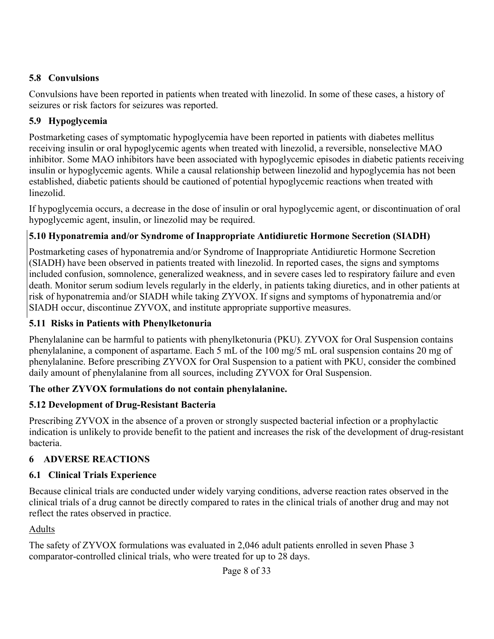### **5.8 Convulsions**

Convulsions have been reported in patients when treated with linezolid. In some of these cases, a history of seizures or risk factors for seizures was reported.

### **5.9 Hypoglycemia**

Postmarketing cases of symptomatic hypoglycemia have been reported in patients with diabetes mellitus receiving insulin or oral hypoglycemic agents when treated with linezolid, a reversible, nonselective MAO inhibitor. Some MAO inhibitors have been associated with hypoglycemic episodes in diabetic patients receiving insulin or hypoglycemic agents. While a causal relationship between linezolid and hypoglycemia has not been established, diabetic patients should be cautioned of potential hypoglycemic reactions when treated with linezolid.

If hypoglycemia occurs, a decrease in the dose of insulin or oral hypoglycemic agent, or discontinuation of oral hypoglycemic agent, insulin, or linezolid may be required.

### **5.10 Hyponatremia and/or Syndrome of Inappropriate Antidiuretic Hormone Secretion (SIADH)**

Postmarketing cases of hyponatremia and/or Syndrome of Inappropriate Antidiuretic Hormone Secretion (SIADH) have been observed in patients treated with linezolid. In reported cases, the signs and symptoms included confusion, somnolence, generalized weakness, and in severe cases led to respiratory failure and even death. Monitor serum sodium levels regularly in the elderly, in patients taking diuretics, and in other patients at risk of hyponatremia and/or SIADH while taking ZYVOX. If signs and symptoms of hyponatremia and/or SIADH occur, discontinue ZYVOX, and institute appropriate supportive measures.

### **5.11 Risks in Patients with Phenylketonuria**

Phenylalanine can be harmful to patients with phenylketonuria (PKU). ZYVOX for Oral Suspension contains phenylalanine, a component of aspartame. Each 5 mL of the 100 mg/5 mL oral suspension contains 20 mg of phenylalanine. Before prescribing ZYVOX for Oral Suspension to a patient with PKU, consider the combined daily amount of phenylalanine from all sources, including ZYVOX for Oral Suspension.

### **The other ZYVOX formulations do not contain phenylalanine.**

### **5.12 Development of Drug-Resistant Bacteria**

Prescribing ZYVOX in the absence of a proven or strongly suspected bacterial infection or a prophylactic indication is unlikely to provide benefit to the patient and increases the risk of the development of drug-resistant bacteria.

### **6 ADVERSE REACTIONS**

### **6.1 Clinical Trials Experience**

Because clinical trials are conducted under widely varying conditions, adverse reaction rates observed in the clinical trials of a drug cannot be directly compared to rates in the clinical trials of another drug and may not reflect the rates observed in practice.

### Adults

The safety of ZYVOX formulations was evaluated in 2,046 adult patients enrolled in seven Phase 3 comparator-controlled clinical trials, who were treated for up to 28 days.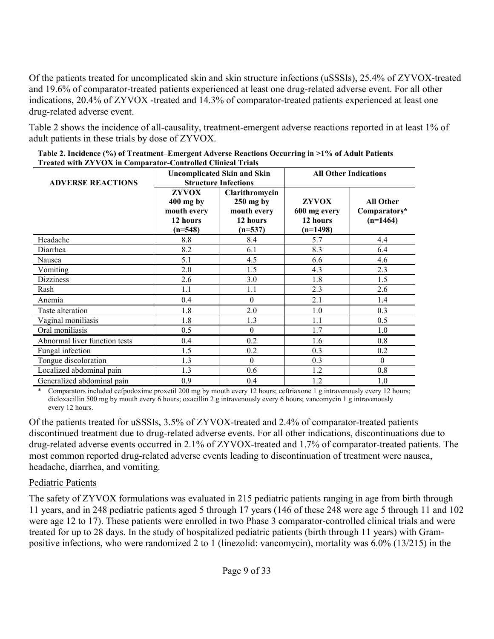Of the patients treated for uncomplicated skin and skin structure infections (uSSSIs), 25.4% of ZYVOX-treated and 19.6% of comparator-treated patients experienced at least one drug-related adverse event. For all other indications, 20.4% of ZYVOX -treated and 14.3% of comparator-treated patients experienced at least one drug-related adverse event.

Table 2 shows the incidence of all-causality, treatment-emergent adverse reactions reported in at least 1% of adult patients in these trials by dose of ZYVOX.

| <b>ADVERSE REACTIONS</b>      | <b>Structure Infections</b>                                                                                                                  | <b>Uncomplicated Skin and Skin</b> | <b>All Other Indications</b>                           |                                                |  |
|-------------------------------|----------------------------------------------------------------------------------------------------------------------------------------------|------------------------------------|--------------------------------------------------------|------------------------------------------------|--|
|                               | <b>ZYVOX</b><br>Clarithromycin<br>$250$ mg by<br>$400$ mg by<br>mouth every<br>mouth every<br>12 hours<br>12 hours<br>$(n=548)$<br>$(n=537)$ |                                    | <b>ZYVOX</b><br>600 mg every<br>12 hours<br>$(n=1498)$ | <b>All Other</b><br>Comparators*<br>$(n=1464)$ |  |
| Headache                      | 8.8                                                                                                                                          | 8.4                                | 5.7                                                    | 4.4                                            |  |
| Diarrhea                      | 8.2                                                                                                                                          | 6.1                                | 8.3                                                    | 6.4                                            |  |
| Nausea                        | 5.1                                                                                                                                          | 4.5                                | 6.6                                                    | 4.6                                            |  |
| Vomiting                      | 2.0                                                                                                                                          | 1.5                                | 4.3                                                    | 2.3                                            |  |
| <b>Dizziness</b>              | 2.6                                                                                                                                          | 3.0                                | 1.8                                                    | 1.5                                            |  |
| Rash                          | 1.1                                                                                                                                          | 1.1                                | 2.3                                                    | 2.6                                            |  |
| Anemia                        | 0.4                                                                                                                                          | $\boldsymbol{0}$                   | 2.1                                                    | 1.4                                            |  |
| Taste alteration              | 1.8                                                                                                                                          | 2.0                                | 1.0                                                    | 0.3                                            |  |
| Vaginal moniliasis            | 1.8                                                                                                                                          | 1.3                                | 1.1                                                    | 0.5                                            |  |
| Oral moniliasis               | 0.5                                                                                                                                          | $\theta$                           | 1.7                                                    | 1.0                                            |  |
| Abnormal liver function tests | 0.4                                                                                                                                          | 0.2                                | 1.6                                                    | 0.8                                            |  |
| Fungal infection              | 1.5                                                                                                                                          | 0.2                                | 0.3                                                    | 0.2                                            |  |
| Tongue discoloration          | 1.3                                                                                                                                          | $\theta$                           | 0.3                                                    | $\Omega$                                       |  |
| Localized abdominal pain      | 1.3                                                                                                                                          | 0.6                                | 1.2                                                    | 0.8                                            |  |
| Generalized abdominal pain    | 0.9                                                                                                                                          | 0.4                                | 1.2                                                    | 1.0                                            |  |

| Table 2. Incidence (%) of Treatment–Emergent Adverse Reactions Occurring in >1% of Adult Patients |
|---------------------------------------------------------------------------------------------------|
| <b>Treated with ZYVOX in Comparator-Controlled Clinical Trials</b>                                |

\* Comparators included cefpodoxime proxetil 200 mg by mouth every 12 hours; ceftriaxone 1 g intravenously every 12 hours; dicloxacillin 500 mg by mouth every 6 hours; oxacillin 2 g intravenously every 6 hours; vancomycin 1 g intravenously every 12 hours.

Of the patients treated for uSSSIs, 3.5% of ZYVOX-treated and 2.4% of comparator-treated patients discontinued treatment due to drug-related adverse events. For all other indications, discontinuations due to drug-related adverse events occurred in 2.1% of ZYVOX-treated and 1.7% of comparator-treated patients. The most common reported drug-related adverse events leading to discontinuation of treatment were nausea, headache, diarrhea, and vomiting.

#### Pediatric Patients

The safety of ZYVOX formulations was evaluated in 215 pediatric patients ranging in age from birth through 11 years, and in 248 pediatric patients aged 5 through 17 years (146 of these 248 were age 5 through 11 and 102 were age 12 to 17). These patients were enrolled in two Phase 3 comparator-controlled clinical trials and were treated for up to 28 days. In the study of hospitalized pediatric patients (birth through 11 years) with Grampositive infections, who were randomized 2 to 1 (linezolid: vancomycin), mortality was 6.0% (13/215) in the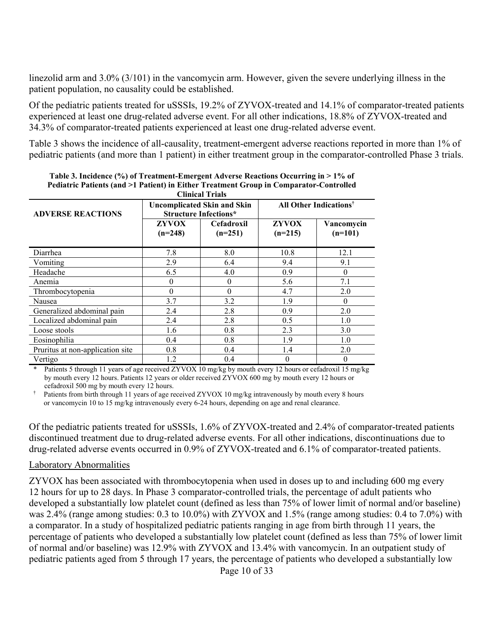linezolid arm and 3.0% (3/101) in the vancomycin arm. However, given the severe underlying illness in the patient population, no causality could be established.

Of the pediatric patients treated for uSSSIs, 19.2% of ZYVOX-treated and 14.1% of comparator-treated patients experienced at least one drug-related adverse event. For all other indications, 18.8% of ZYVOX-treated and 34.3% of comparator-treated patients experienced at least one drug-related adverse event.

Table 3 shows the incidence of all-causality, treatment-emergent adverse reactions reported in more than 1% of pediatric patients (and more than 1 patient) in either treatment group in the comparator-controlled Phase 3 trials.

| <b>Clinical Trials</b>           |                           |                                                                    |                                          |                         |  |  |  |
|----------------------------------|---------------------------|--------------------------------------------------------------------|------------------------------------------|-------------------------|--|--|--|
| <b>ADVERSE REACTIONS</b>         |                           | <b>Uncomplicated Skin and Skin</b><br><b>Structure Infections*</b> | <b>All Other Indications<sup>†</sup></b> |                         |  |  |  |
|                                  | <b>ZYVOX</b><br>$(n=248)$ | Cefadroxil<br>$(n=251)$                                            | <b>ZYVOX</b><br>$(n=215)$                | Vancomycin<br>$(n=101)$ |  |  |  |
| Diarrhea                         | 7.8                       | 8.0                                                                | 10.8                                     | 12.1                    |  |  |  |
| Vomiting                         | 2.9                       | 6.4                                                                | 9.4                                      | 9.1                     |  |  |  |
| Headache                         | 6.5                       | 4.0                                                                | 0.9                                      | $\Omega$                |  |  |  |
| Anemia                           | $\theta$                  | $\Omega$                                                           | 5.6                                      | 7.1                     |  |  |  |
| Thrombocytopenia                 | $\Omega$                  | $\Omega$                                                           | 4.7                                      | 2.0                     |  |  |  |
| Nausea                           | 3.7                       | 3.2                                                                | 1.9                                      | 0                       |  |  |  |
| Generalized abdominal pain       | 2.4                       | 2.8                                                                | 0.9                                      | 2.0                     |  |  |  |
| Localized abdominal pain         | 2.4                       | 2.8                                                                | 0.5                                      | 1.0                     |  |  |  |
| Loose stools                     | 1.6                       | 0.8                                                                | 2.3                                      | 3.0                     |  |  |  |
| Eosinophilia                     | 0.4                       | 0.8                                                                | 1.9                                      | 1.0                     |  |  |  |
| Pruritus at non-application site | 0.8                       | 0.4                                                                | 1.4                                      | 2.0                     |  |  |  |
| Vertigo                          | 1.2                       | 0.4                                                                | $\bf{0}$                                 | $\theta$                |  |  |  |

**Table 3. Incidence (%) of Treatment-Emergent Adverse Reactions Occurring in > 1% of Pediatric Patients (and >1 Patient) in Either Treatment Group in Comparator-Controlled** 

Patients 5 through 11 years of age received ZYVOX 10 mg/kg by mouth every 12 hours or cefadroxil 15 mg/kg by mouth every 12 hours. Patients 12 years or older received ZYVOX 600 mg by mouth every 12 hours or cefadroxil 500 mg by mouth every 12 hours.

† Patients from birth through 11 years of age received ZYVOX 10 mg/kg intravenously by mouth every 8 hours or vancomycin 10 to 15 mg/kg intravenously every 6-24 hours, depending on age and renal clearance.

Of the pediatric patients treated for uSSSIs, 1.6% of ZYVOX-treated and 2.4% of comparator-treated patients discontinued treatment due to drug-related adverse events. For all other indications, discontinuations due to drug-related adverse events occurred in 0.9% of ZYVOX-treated and 6.1% of comparator-treated patients.

#### Laboratory Abnormalities

ZYVOX has been associated with thrombocytopenia when used in doses up to and including 600 mg every 12 hours for up to 28 days. In Phase 3 comparator-controlled trials, the percentage of adult patients who developed a substantially low platelet count (defined as less than 75% of lower limit of normal and/or baseline) was 2.4% (range among studies: 0.3 to 10.0%) with ZYVOX and 1.5% (range among studies: 0.4 to 7.0%) with a comparator. In a study of hospitalized pediatric patients ranging in age from birth through 11 years, the percentage of patients who developed a substantially low platelet count (defined as less than 75% of lower limit of normal and/or baseline) was 12.9% with ZYVOX and 13.4% with vancomycin. In an outpatient study of pediatric patients aged from 5 through 17 years, the percentage of patients who developed a substantially low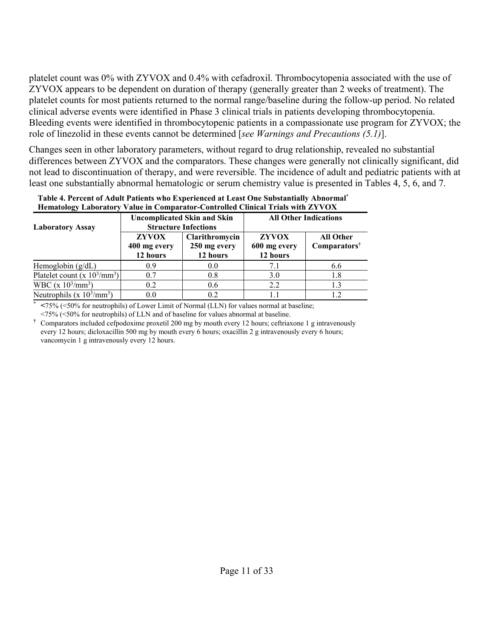platelet count was 0% with ZYVOX and 0.4% with cefadroxil. Thrombocytopenia associated with the use of ZYVOX appears to be dependent on duration of therapy (generally greater than 2 weeks of treatment). The platelet counts for most patients returned to the normal range/baseline during the follow-up period. No related clinical adverse events were identified in Phase 3 clinical trials in patients developing thrombocytopenia. Bleeding events were identified in thrombocytopenic patients in a compassionate use program for ZYVOX; the role of linezolid in these events cannot be determined [*see Warnings and Precautions (5.1)*].

Changes seen in other laboratory parameters, without regard to drug relationship, revealed no substantial differences between ZYVOX and the comparators. These changes were generally not clinically significant, did not lead to discontinuation of therapy, and were reversible. The incidence of adult and pediatric patients with at least one substantially abnormal hematologic or serum chemistry value is presented in Tables 4, 5, 6, and 7.

|                                        | Hematology Laboratory value in Comparator-Controlled Clinical Trials with ZYVOX        |     |                                          |                                             |  |  |
|----------------------------------------|----------------------------------------------------------------------------------------|-----|------------------------------------------|---------------------------------------------|--|--|
| <b>Laboratory Assay</b>                | <b>Uncomplicated Skin and Skin</b><br><b>Structure Infections</b>                      |     |                                          | <b>All Other Indications</b>                |  |  |
|                                        | <b>ZYVOX</b><br>Clarithromycin<br>250 mg every<br>400 mg every<br>12 hours<br>12 hours |     | <b>ZYVOX</b><br>600 mg every<br>12 hours | <b>All Other</b><br>$Comparators^{\dagger}$ |  |  |
| Hemoglobin $(g/dL)$                    | 0.9                                                                                    | 0.0 | 7.1                                      | 6.6                                         |  |  |
| Platelet count (x $10^3/\text{mm}^3$ ) | 0.7                                                                                    | 0.8 | 3.0                                      | 1.8                                         |  |  |
| WBC ( $x 10^3$ /mm <sup>3</sup> )      | 0.2                                                                                    | 0.6 | 2.2                                      | 1.3                                         |  |  |
| Neutrophils (x $10^3/\text{mm}^3$ )    | 0.0                                                                                    | 0.2 | 1.1                                      | 1.2                                         |  |  |

**Table 4. Percent of Adult Patients who Experienced at Least One Substantially Abnormal\* Hematogy Value in Comparator-Controlled Clinical Trial** 

**\* <**75% (<50% for neutrophils) of Lower Limit of Normal (LLN) for values normal at baseline;

<75% (<50% for neutrophils) of LLN and of baseline for values abnormal at baseline.

**†** Comparators included cefpodoxime proxetil 200 mg by mouth every 12 hours; ceftriaxone 1 g intravenously every 12 hours; dicloxacillin 500 mg by mouth every 6 hours; oxacillin 2 g intravenously every 6 hours; vancomycin 1 g intravenously every 12 hours.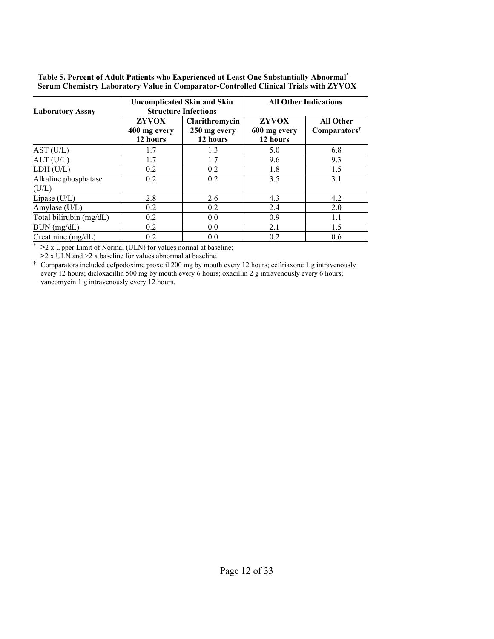**Table 5. Percent of Adult Patients who Experienced at Least One Substantially Abnormal\* Serum Chemistry Laboratory Value in Comparator-Controlled Clinical Trials with ZYVOX**

| <b>Laboratory Assay</b>       |                                          | <b>Uncomplicated Skin and Skin</b><br><b>Structure Infections</b> | <b>All Other Indications</b>             |                                              |  |
|-------------------------------|------------------------------------------|-------------------------------------------------------------------|------------------------------------------|----------------------------------------------|--|
|                               | <b>ZYVOX</b><br>400 mg every<br>12 hours | Clarithromycin<br>250 mg every<br>12 hours                        | <b>ZYVOX</b><br>600 mg every<br>12 hours | <b>All Other</b><br>Comparators <sup>†</sup> |  |
| AST (U/L)                     | 1.7                                      | 1.3                                                               | 5.0                                      | 6.8                                          |  |
| $ALT$ (U/L)                   | 1.7                                      | 1.7                                                               | 9.6                                      | 9.3                                          |  |
| LDH (U/L)                     | 0.2                                      | 0.2                                                               | 1.8                                      | 1.5                                          |  |
| Alkaline phosphatase<br>(U/L) | 0.2                                      | 0.2                                                               | 3.5                                      | 3.1                                          |  |
| Lipase $(U/L)$                | 2.8                                      | 2.6                                                               | 4.3                                      | 4.2                                          |  |
| Amylase (U/L)                 | 0.2                                      | 0.2                                                               | 2.4                                      | 2.0                                          |  |
| Total bilirubin (mg/dL)       | 0.2                                      | 0.0                                                               | 0.9                                      | 1.1                                          |  |
| BUN (mg/dL)                   | 0.2                                      | 0.0                                                               | 2.1                                      | 1.5                                          |  |
| Creatinine (mg/dL)            | 0.2                                      | 0.0                                                               | 0.2                                      | 0.6                                          |  |

\* **>**2 x Upper Limit of Normal (ULN) for values normal at baseline;

**>**2 x ULN and >2 x baseline for values abnormal at baseline.

**†** Comparators included cefpodoxime proxetil 200 mg by mouth every 12 hours; ceftriaxone 1 g intravenously every 12 hours; dicloxacillin 500 mg by mouth every 6 hours; oxacillin 2 g intravenously every 6 hours; vancomycin 1 g intravenously every 12 hours.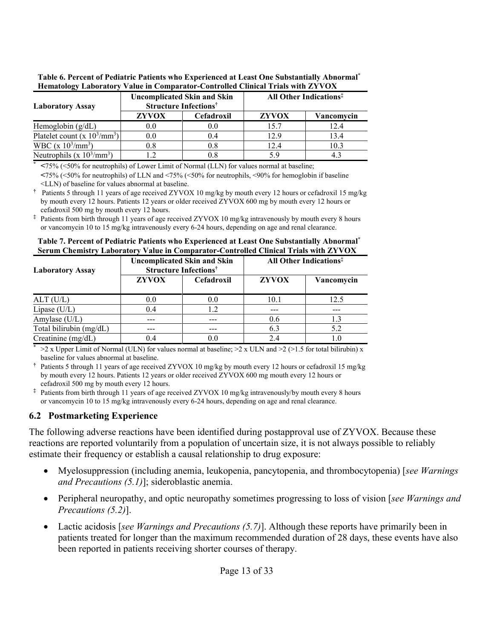| $\sim$<br><b>Laboratory Assay</b>      | <b>Structure Infections</b> <sup>†</sup> | <b>Uncomplicated Skin and Skin</b> | <b>All Other Indications</b> <sup>‡</sup> |            |  |
|----------------------------------------|------------------------------------------|------------------------------------|-------------------------------------------|------------|--|
|                                        | <b>ZYVOX</b>                             | Cefadroxil                         | <b>ZYVOX</b>                              | Vancomycin |  |
| Hemoglobin $(g/dL)$                    | 0.0                                      | 0.0                                | 15.7                                      | 12.4       |  |
| Platelet count (x $10^3/\text{mm}^3$ ) | $0.0\,$                                  | 0.4                                | 12.9                                      | 13.4       |  |
| WBC ( $x 10^3$ /mm <sup>3</sup> )      | $\rm 0.8$                                | 0.8                                | 12.4                                      | 10.3       |  |
| Neutrophils (x $10^3/\text{mm}^3$ )    |                                          | 0.8                                | 59                                        |            |  |

**Table 6. Percent of Pediatric Patients who Experienced at Least One Substantially Abnormal\* Hematology Laboratory Value in Comparator-Controlled Clinical Trials with ZYVOX**

**\* <**75% (<50% for neutrophils) of Lower Limit of Normal (LLN) for values normal at baseline;

**<**75% (<50% for neutrophils) of LLN and <75% (<50% for neutrophils, <90% for hemoglobin if baseline <LLN) of baseline for values abnormal at baseline.

**†** Patients 5 through 11 years of age received ZYVOX 10 mg/kg by mouth every 12 hours or cefadroxil 15 mg/kg by mouth every 12 hours. Patients 12 years or older received ZYVOX 600 mg by mouth every 12 hours or cefadroxil 500 mg by mouth every 12 hours.

**‡** Patients from birth through 11 years of age received ZYVOX 10 mg/kg intravenously by mouth every 8 hours or vancomycin 10 to 15 mg/kg intravenously every 6-24 hours, depending on age and renal clearance.

#### **Table 7. Percent of Pediatric Patients who Experienced at Least One Substantially Abnormal\* Serum Chemistry Laboratory Value in Comparator-Controlled Clinical Trials with ZYVOX**

|              |            | <b>All Other Indications</b> <sup>‡</sup> |                                    |  |
|--------------|------------|-------------------------------------------|------------------------------------|--|
| <b>ZYVOX</b> | Cefadroxil | <b>ZYVOX</b>                              | Vancomycin                         |  |
| 0.0          | 0.0        | 10.1                                      | 12.5                               |  |
| 0.4          | 1.2        |                                           |                                    |  |
|              |            | 0.6                                       | 1.3                                |  |
|              |            | 6.3                                       | 5.2                                |  |
| 0.4          | 0.0        | 2.4                                       | 1.0                                |  |
|              |            | <b>Structure Infections<sup>†</sup></b>   | <b>Uncomplicated Skin and Skin</b> |  |

 $\geq$  x Upper Limit of Normal (ULN) for values normal at baseline;  $\geq$  x ULN and  $\geq$  ( $\geq$ 1.5 for total bilirubin) x baseline for values abnormal at baseline.

**†** Patients 5 through 11 years of age received ZYVOX 10 mg/kg by mouth every 12 hours or cefadroxil 15 mg/kg by mouth every 12 hours. Patients 12 years or older received ZYVOX 600 mg mouth every 12 hours or cefadroxil 500 mg by mouth every 12 hours.

**‡** Patients from birth through 11 years of age received ZYVOX 10 mg/kg intravenously/by mouth every 8 hours or vancomycin 10 to 15 mg/kg intravenously every 6-24 hours, depending on age and renal clearance.

### **6.2 Postmarketing Experience**

The following adverse reactions have been identified during postapproval use of ZYVOX. Because these reactions are reported voluntarily from a population of uncertain size, it is not always possible to reliably estimate their frequency or establish a causal relationship to drug exposure:

- Myelosuppression (including anemia, leukopenia, pancytopenia, and thrombocytopenia) [*see Warnings and Precautions (5.1)*]; sideroblastic anemia.
- Peripheral neuropathy, and optic neuropathy sometimes progressing to loss of vision [*see Warnings and Precautions (5.2)*].
- Lactic acidosis [*see Warnings and Precautions (5.7)*]. Although these reports have primarily been in patients treated for longer than the maximum recommended duration of 28 days, these events have also been reported in patients receiving shorter courses of therapy.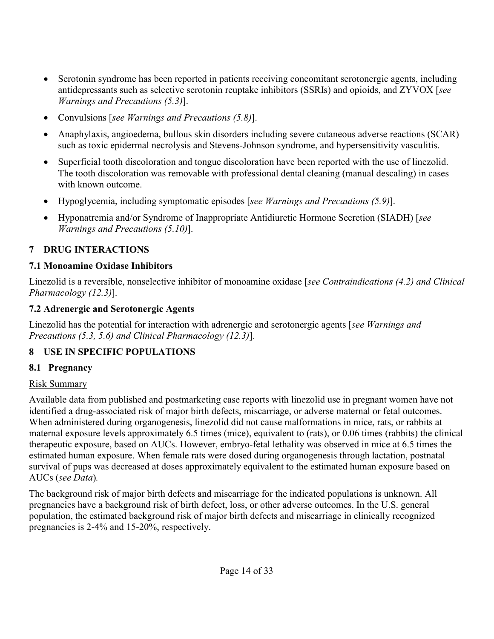- Serotonin syndrome has been reported in patients receiving concomitant serotonergic agents, including antidepressants such as selective serotonin reuptake inhibitors (SSRIs) and opioids, and ZYVOX [*see Warnings and Precautions (5.3)*].
- Convulsions [*see Warnings and Precautions (5.8)*].
- Anaphylaxis, angioedema, bullous skin disorders including severe cutaneous adverse reactions (SCAR) such as toxic epidermal necrolysis and Stevens-Johnson syndrome, and hypersensitivity vasculitis.
- Superficial tooth discoloration and tongue discoloration have been reported with the use of linezolid. The tooth discoloration was removable with professional dental cleaning (manual descaling) in cases with known outcome.
- Hypoglycemia, including symptomatic episodes [*see Warnings and Precautions (5.9)*].
- Hyponatremia and/or Syndrome of Inappropriate Antidiuretic Hormone Secretion (SIADH) [*see Warnings and Precautions (5.10)*].

# **7 DRUG INTERACTIONS**

# **7.1 Monoamine Oxidase Inhibitors**

Linezolid is a reversible, nonselective inhibitor of monoamine oxidase [*see Contraindications (4.2) and Clinical Pharmacology (12.3)*].

# **7.2 Adrenergic and Serotonergic Agents**

Linezolid has the potential for interaction with adrenergic and serotonergic agents [*see Warnings and Precautions (5.3, 5.6) and Clinical Pharmacology (12.3)*].

# **8 USE IN SPECIFIC POPULATIONS**

# **8.1 Pregnancy**

# Risk Summary

Available data from published and postmarketing case reports with linezolid use in pregnant women have not identified a drug-associated risk of major birth defects, miscarriage, or adverse maternal or fetal outcomes. When administered during organogenesis, linezolid did not cause malformations in mice, rats, or rabbits at maternal exposure levels approximately 6.5 times (mice), equivalent to (rats), or 0.06 times (rabbits) the clinical therapeutic exposure, based on AUCs. However, embryo-fetal lethality was observed in mice at 6.5 times the estimated human exposure. When female rats were dosed during organogenesis through lactation, postnatal survival of pups was decreased at doses approximately equivalent to the estimated human exposure based on AUCs (*see Data*)*.*

The background risk of major birth defects and miscarriage for the indicated populations is unknown. All pregnancies have a background risk of birth defect, loss, or other adverse outcomes. In the U.S. general population, the estimated background risk of major birth defects and miscarriage in clinically recognized pregnancies is 2-4% and 15-20%, respectively.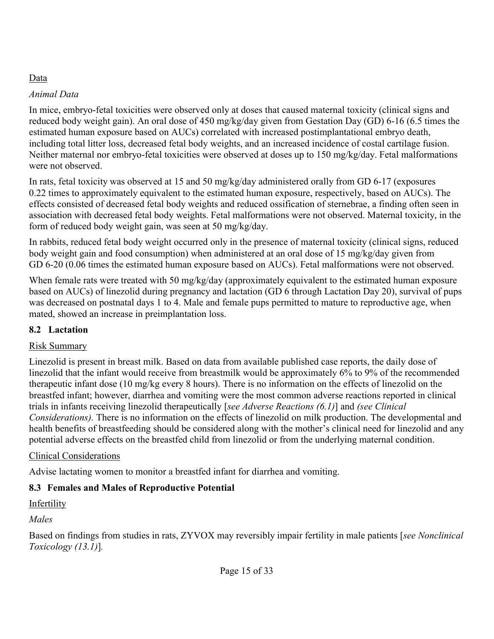#### Data

#### *Animal Data*

In mice, embryo-fetal toxicities were observed only at doses that caused maternal toxicity (clinical signs and reduced body weight gain). An oral dose of 450 mg/kg/day given from Gestation Day (GD) 6-16 (6.5 times the estimated human exposure based on AUCs) correlated with increased postimplantational embryo death, including total litter loss, decreased fetal body weights, and an increased incidence of costal cartilage fusion. Neither maternal nor embryo-fetal toxicities were observed at doses up to 150 mg/kg/day. Fetal malformations were not observed.

In rats, fetal toxicity was observed at 15 and 50 mg/kg/day administered orally from GD 6-17 (exposures 0.22 times to approximately equivalent to the estimated human exposure, respectively, based on AUCs). The effects consisted of decreased fetal body weights and reduced ossification of sternebrae, a finding often seen in association with decreased fetal body weights. Fetal malformations were not observed. Maternal toxicity, in the form of reduced body weight gain, was seen at 50 mg/kg/day.

In rabbits, reduced fetal body weight occurred only in the presence of maternal toxicity (clinical signs, reduced body weight gain and food consumption) when administered at an oral dose of 15 mg/kg/day given from GD 6-20 (0.06 times the estimated human exposure based on AUCs). Fetal malformations were not observed.

When female rats were treated with 50 mg/kg/day (approximately equivalent to the estimated human exposure based on AUCs) of linezolid during pregnancy and lactation (GD 6 through Lactation Day 20), survival of pups was decreased on postnatal days 1 to 4. Male and female pups permitted to mature to reproductive age, when mated, showed an increase in preimplantation loss.

### **8.2 Lactation**

### Risk Summary

Linezolid is present in breast milk. Based on data from available published case reports, the daily dose of linezolid that the infant would receive from breastmilk would be approximately 6% to 9% of the recommended therapeutic infant dose (10 mg/kg every 8 hours). There is no information on the effects of linezolid on the breastfed infant; however, diarrhea and vomiting were the most common adverse reactions reported in clinical trials in infants receiving linezolid therapeutically [*see Adverse Reactions (6.1)*] and *(see Clinical Considerations).* There is no information on the effects of linezolid on milk production. The developmental and health benefits of breastfeeding should be considered along with the mother's clinical need for linezolid and any potential adverse effects on the breastfed child from linezolid or from the underlying maternal condition.

### Clinical Considerations

Advise lactating women to monitor a breastfed infant for diarrhea and vomiting.

### **8.3 Females and Males of Reproductive Potential**

Infertility

*Males*

Based on findings from studies in rats, ZYVOX may reversibly impair fertility in male patients [*see Nonclinical Toxicology (13.1)*]*.*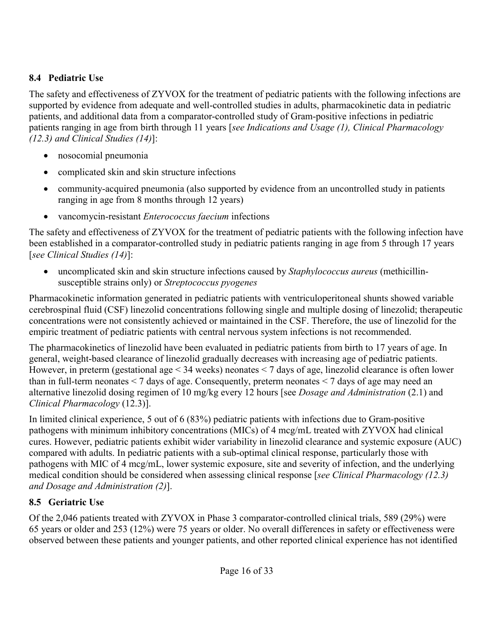### **8.4 Pediatric Use**

The safety and effectiveness of ZYVOX for the treatment of pediatric patients with the following infections are supported by evidence from adequate and well-controlled studies in adults, pharmacokinetic data in pediatric patients, and additional data from a comparator-controlled study of Gram-positive infections in pediatric patients ranging in age from birth through 11 years [*see Indications and Usage (1), Clinical Pharmacology (12.3) and Clinical Studies (14)*]:

- nosocomial pneumonia
- complicated skin and skin structure infections
- community-acquired pneumonia (also supported by evidence from an uncontrolled study in patients ranging in age from 8 months through 12 years)
- vancomycin-resistant *Enterococcus faecium* infections

The safety and effectiveness of ZYVOX for the treatment of pediatric patients with the following infection have been established in a comparator-controlled study in pediatric patients ranging in age from 5 through 17 years [*see Clinical Studies (14)*]:

 uncomplicated skin and skin structure infections caused by *Staphylococcus aureus* (methicillinsusceptible strains only) or *Streptococcus pyogenes*

Pharmacokinetic information generated in pediatric patients with ventriculoperitoneal shunts showed variable cerebrospinal fluid (CSF) linezolid concentrations following single and multiple dosing of linezolid; therapeutic concentrations were not consistently achieved or maintained in the CSF. Therefore, the use of linezolid for the empiric treatment of pediatric patients with central nervous system infections is not recommended.

The pharmacokinetics of linezolid have been evaluated in pediatric patients from birth to 17 years of age. In general, weight-based clearance of linezolid gradually decreases with increasing age of pediatric patients. However, in preterm (gestational age < 34 weeks) neonates < 7 days of age, linezolid clearance is often lower than in full-term neonates < 7 days of age. Consequently, preterm neonates < 7 days of age may need an alternative linezolid dosing regimen of 10 mg/kg every 12 hours [see *Dosage and Administration* (2.1) and *Clinical Pharmacology* (12.3)].

In limited clinical experience, 5 out of 6 (83%) pediatric patients with infections due to Gram-positive pathogens with minimum inhibitory concentrations (MICs) of 4 mcg/mL treated with ZYVOX had clinical cures. However, pediatric patients exhibit wider variability in linezolid clearance and systemic exposure (AUC) compared with adults. In pediatric patients with a sub-optimal clinical response, particularly those with pathogens with MIC of 4 mcg/mL, lower systemic exposure, site and severity of infection, and the underlying medical condition should be considered when assessing clinical response [*see Clinical Pharmacology (12.3) and Dosage and Administration (2)*].

# **8.5 Geriatric Use**

Of the 2,046 patients treated with ZYVOX in Phase 3 comparator-controlled clinical trials, 589 (29%) were 65 years or older and 253 (12%) were 75 years or older. No overall differences in safety or effectiveness were observed between these patients and younger patients, and other reported clinical experience has not identified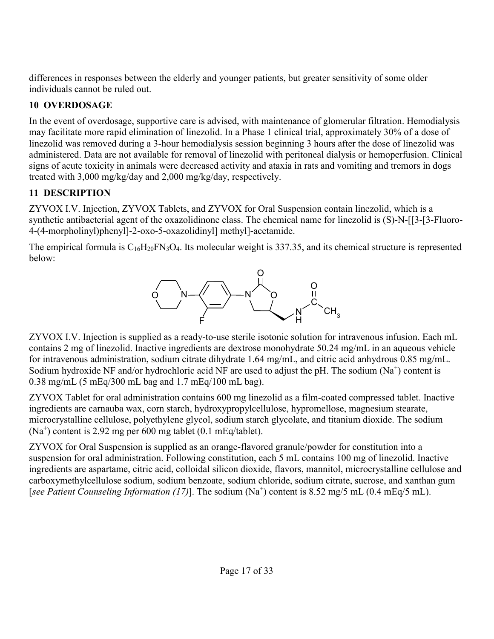differences in responses between the elderly and younger patients, but greater sensitivity of some older individuals cannot be ruled out.

# **10 OVERDOSAGE**

In the event of overdosage, supportive care is advised, with maintenance of glomerular filtration. Hemodialysis may facilitate more rapid elimination of linezolid. In a Phase 1 clinical trial, approximately 30% of a dose of linezolid was removed during a 3-hour hemodialysis session beginning 3 hours after the dose of linezolid was administered. Data are not available for removal of linezolid with peritoneal dialysis or hemoperfusion. Clinical signs of acute toxicity in animals were decreased activity and ataxia in rats and vomiting and tremors in dogs treated with 3,000 mg/kg/day and 2,000 mg/kg/day, respectively.

# **11 DESCRIPTION**

ZYVOX I.V. Injection, ZYVOX Tablets, and ZYVOX for Oral Suspension contain linezolid, which is a synthetic antibacterial agent of the oxazolidinone class. The chemical name for linezolid is (S)-N-[[3-[3-Fluoro-4-(4-morpholinyl)phenyl]-2-oxo-5-oxazolidinyl] methyl]-acetamide.

The empirical formula is  $C_{16}H_{20}FN_3O_4$ . Its molecular weight is 337.35, and its chemical structure is represented below:



ZYVOX I.V. Injection is supplied as a ready-to-use sterile isotonic solution for intravenous infusion. Each mL contains 2 mg of linezolid. Inactive ingredients are dextrose monohydrate 50.24 mg/mL in an aqueous vehicle for intravenous administration, sodium citrate dihydrate 1.64 mg/mL, and citric acid anhydrous 0.85 mg/mL. Sodium hydroxide NF and/or hydrochloric acid NF are used to adjust the pH. The sodium  $(Na<sup>+</sup>)$  content is 0.38 mg/mL (5 mEq/300 mL bag and 1.7 mEq/100 mL bag).

ZYVOX Tablet for oral administration contains 600 mg linezolid as a film-coated compressed tablet. Inactive ingredients are carnauba wax, corn starch, hydroxypropylcellulose, hypromellose, magnesium stearate, microcrystalline cellulose, polyethylene glycol, sodium starch glycolate, and titanium dioxide. The sodium  $(Na<sup>+</sup>)$  content is 2.92 mg per 600 mg tablet  $(0.1 \text{ mEq/tablet}).$ 

ZYVOX for Oral Suspension is supplied as an orange-flavored granule/powder for constitution into a suspension for oral administration. Following constitution, each 5 mL contains 100 mg of linezolid. Inactive ingredients are aspartame, citric acid, colloidal silicon dioxide, flavors, mannitol, microcrystalline cellulose and carboxymethylcellulose sodium, sodium benzoate, sodium chloride, sodium citrate, sucrose, and xanthan gum [see Patient Counseling Information (17)]. The sodium (Na<sup>+</sup>) content is 8.52 mg/5 mL (0.4 mEq/5 mL).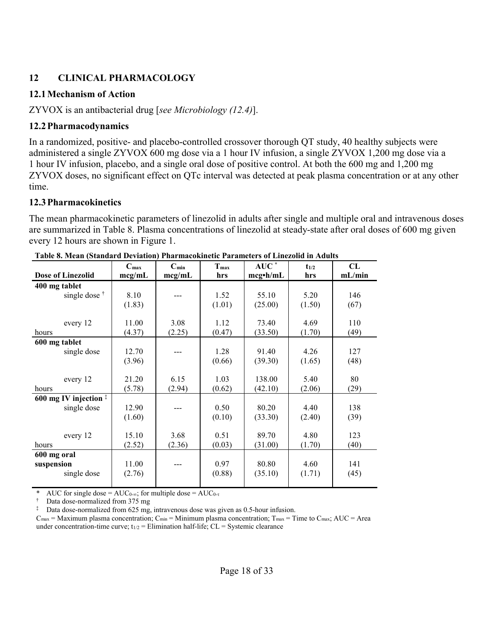### **12 CLINICAL PHARMACOLOGY**

#### **12.1Mechanism of Action**

ZYVOX is an antibacterial drug [*see Microbiology (12.4)*].

### **12.2Pharmacodynamics**

In a randomized, positive- and placebo-controlled crossover thorough QT study, 40 healthy subjects were administered a single ZYVOX 600 mg dose via a 1 hour IV infusion, a single ZYVOX 1,200 mg dose via a 1 hour IV infusion, placebo, and a single oral dose of positive control. At both the 600 mg and 1,200 mg ZYVOX doses, no significant effect on QTc interval was detected at peak plasma concentration or at any other time.

#### **12.3Pharmacokinetics**

The mean pharmacokinetic parameters of linezolid in adults after single and multiple oral and intravenous doses are summarized in Table 8. Plasma concentrations of linezolid at steady-state after oral doses of 600 mg given every 12 hours are shown in Figure 1.

|                                   | $C_{\text{max}}$ | $C_{min}$ | T <sub>max</sub> | $AUC^*$         | $t_{1/2}$ | CL     |
|-----------------------------------|------------------|-----------|------------------|-----------------|-----------|--------|
| <b>Dose of Linezolid</b>          | mcg/mL           | mcg/mL    | hrs              | $mcg\cdot h/mL$ | hrs       | mL/min |
| 400 mg tablet                     |                  |           |                  |                 |           |        |
| single dose $\dagger$             | 8.10             |           | 1.52             | 55.10           | 5.20      | 146    |
|                                   | (1.83)           |           | (1.01)           | (25.00)         | (1.50)    | (67)   |
|                                   |                  |           |                  |                 |           |        |
| every 12                          | 11.00            | 3.08      | 1.12             | 73.40           | 4.69      | 110    |
| hours                             | (4.37)           | (2.25)    | (0.47)           | (33.50)         | (1.70)    | (49)   |
| 600 mg tablet                     |                  |           |                  |                 |           |        |
| single dose                       | 12.70            |           | 1.28             | 91.40           | 4.26      | 127    |
|                                   | (3.96)           |           | (0.66)           | (39.30)         | (1.65)    | (48)   |
|                                   |                  |           |                  |                 |           |        |
| every 12                          | 21.20            | 6.15      | 1.03             | 138.00          | 5.40      | 80     |
| hours                             | (5.78)           | (2.94)    | (0.62)           | (42.10)         | (2.06)    | (29)   |
| 600 mg IV injection $\frac{1}{x}$ |                  |           |                  |                 |           |        |
| single dose                       | 12.90            |           | 0.50             | 80.20           | 4.40      | 138    |
|                                   | (1.60)           |           | (0.10)           | (33.30)         | (2.40)    | (39)   |
|                                   |                  |           |                  |                 |           |        |
| every 12                          | 15.10            | 3.68      | 0.51             | 89.70           | 4.80      | 123    |
| hours                             | (2.52)           | (2.36)    | (0.03)           | (31.00)         | (1.70)    | (40)   |
| 600 mg oral                       |                  |           |                  |                 |           |        |
| suspension                        | 11.00            |           | 0.97             | 80.80           | 4.60      | 141    |
| single dose                       | (2.76)           |           | (0.88)           | (35.10)         | (1.71)    | (45)   |
|                                   |                  |           |                  |                 |           |        |

|  |  | Table 8. Mean (Standard Deviation) Pharmacokinetic Parameters of Linezolid in Adults |
|--|--|--------------------------------------------------------------------------------------|
|--|--|--------------------------------------------------------------------------------------|

\* AUC for single dose =  $AUC_{0-\infty}$ ; for multiple dose =  $AUC_{0-\tau}$ 

† Data dose-normalized from 375 mg

‡ Data dose-normalized from 625 mg, intravenous dose was given as 0.5-hour infusion.

 $C_{\text{max}}$  = Maximum plasma concentration;  $C_{\text{min}}$  = Minimum plasma concentration;  $T_{\text{max}}$  = Time to  $C_{\text{max}}$ ; AUC = Area under concentration-time curve;  $t_{1/2}$  = Elimination half-life; CL = Systemic clearance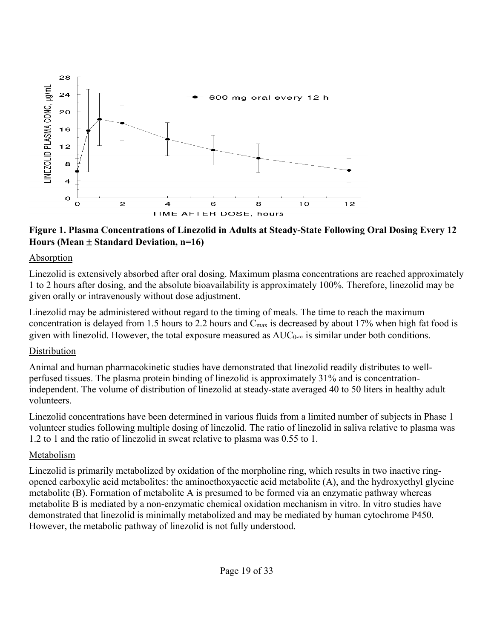

#### **Figure 1. Plasma Concentrations of Linezolid in Adults at Steady-State Following Oral Dosing Every 12 Hours (Mean**  $\pm$  **Standard Deviation, n=16)**

### **Absorption**

Linezolid is extensively absorbed after oral dosing. Maximum plasma concentrations are reached approximately 1 to 2 hours after dosing, and the absolute bioavailability is approximately 100%. Therefore, linezolid may be given orally or intravenously without dose adjustment.

Linezolid may be administered without regard to the timing of meals. The time to reach the maximum concentration is delayed from 1.5 hours to 2.2 hours and C<sub>max</sub> is decreased by about 17% when high fat food is given with linezolid. However, the total exposure measured as  $AUC_{0-\infty}$  is similar under both conditions.

### **Distribution**

Animal and human pharmacokinetic studies have demonstrated that linezolid readily distributes to wellperfused tissues. The plasma protein binding of linezolid is approximately 31% and is concentrationindependent. The volume of distribution of linezolid at steady-state averaged 40 to 50 liters in healthy adult volunteers.

Linezolid concentrations have been determined in various fluids from a limited number of subjects in Phase 1 volunteer studies following multiple dosing of linezolid. The ratio of linezolid in saliva relative to plasma was 1.2 to 1 and the ratio of linezolid in sweat relative to plasma was 0.55 to 1.

### Metabolism

Linezolid is primarily metabolized by oxidation of the morpholine ring, which results in two inactive ringopened carboxylic acid metabolites: the aminoethoxyacetic acid metabolite (A), and the hydroxyethyl glycine metabolite (B). Formation of metabolite A is presumed to be formed via an enzymatic pathway whereas metabolite B is mediated by a non-enzymatic chemical oxidation mechanism in vitro. In vitro studies have demonstrated that linezolid is minimally metabolized and may be mediated by human cytochrome P450. However, the metabolic pathway of linezolid is not fully understood.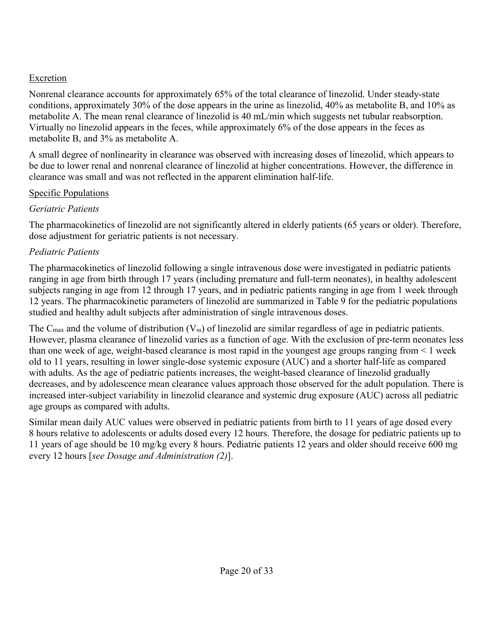### Excretion

Nonrenal clearance accounts for approximately 65% of the total clearance of linezolid. Under steady-state conditions, approximately 30% of the dose appears in the urine as linezolid, 40% as metabolite B, and 10% as metabolite A. The mean renal clearance of linezolid is 40 mL/min which suggests net tubular reabsorption. Virtually no linezolid appears in the feces, while approximately 6% of the dose appears in the feces as metabolite B, and 3% as metabolite A.

A small degree of nonlinearity in clearance was observed with increasing doses of linezolid, which appears to be due to lower renal and nonrenal clearance of linezolid at higher concentrations. However, the difference in clearance was small and was not reflected in the apparent elimination half-life.

### Specific Populations

# *Geriatric Patients*

The pharmacokinetics of linezolid are not significantly altered in elderly patients (65 years or older). Therefore, dose adjustment for geriatric patients is not necessary.

# *Pediatric Patients*

The pharmacokinetics of linezolid following a single intravenous dose were investigated in pediatric patients ranging in age from birth through 17 years (including premature and full-term neonates), in healthy adolescent subjects ranging in age from 12 through 17 years, and in pediatric patients ranging in age from 1 week through 12 years. The pharmacokinetic parameters of linezolid are summarized in Table 9 for the pediatric populations studied and healthy adult subjects after administration of single intravenous doses.

The  $C_{\text{max}}$  and the volume of distribution ( $V_{\text{ss}}$ ) of linezolid are similar regardless of age in pediatric patients. However, plasma clearance of linezolid varies as a function of age. With the exclusion of pre-term neonates less than one week of age, weight-based clearance is most rapid in the youngest age groups ranging from < 1 week old to 11 years, resulting in lower single-dose systemic exposure (AUC) and a shorter half-life as compared with adults. As the age of pediatric patients increases, the weight-based clearance of linezolid gradually decreases, and by adolescence mean clearance values approach those observed for the adult population. There is increased inter-subject variability in linezolid clearance and systemic drug exposure (AUC) across all pediatric age groups as compared with adults.

Similar mean daily AUC values were observed in pediatric patients from birth to 11 years of age dosed every 8 hours relative to adolescents or adults dosed every 12 hours. Therefore, the dosage for pediatric patients up to 11 years of age should be 10 mg/kg every 8 hours. Pediatric patients 12 years and older should receive 600 mg every 12 hours [*see Dosage and Administration (2)*].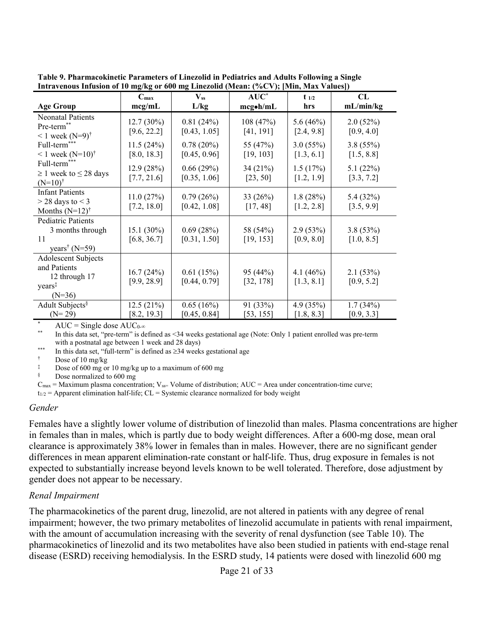|                                                                                        | $C_{\text{max}}$            | $\mathbf{V}_{ss}$         | $AUC^*$                | $t_{1/2}$                 | CL                      |
|----------------------------------------------------------------------------------------|-----------------------------|---------------------------|------------------------|---------------------------|-------------------------|
| <b>Age Group</b>                                                                       | mcg/mL                      | L/kg                      | $mcg\bullet h/mL$      | hrs                       | mL/min/kg               |
| <b>Neonatal Patients</b><br>Pre-term**<br>$1$ week (N=9) <sup>†</sup>                  | $12.7(30\%)$<br>[9.6, 22.2] | 0.81(24%)<br>[0.43, 1.05] | 108 (47%)<br>[41, 191] | 5.6 $(46%)$<br>[2.4, 9.8] | 2.0(52%)<br>[0.9, 4.0]  |
| Full-term***<br>$\leq 1$ week (N=10) <sup>†</sup>                                      | 11.5(24%)<br>[8.0, 18.3]    | 0.78(20%)<br>[0.45, 0.96] | 55 (47%)<br>[19, 103]  | 3.0(55%)<br>[1.3, 6.1]    | 3.8(55%)<br>[1.5, 8.8]  |
| Full-term***<br>$\geq 1$ week to $\leq 28$ days<br>$(N=10)^{\dagger}$                  | 12.9(28%)<br>[7.7, 21.6]    | 0.66(29%)<br>[0.35, 1.06] | 34 (21%)<br>[23, 50]   | 1.5(17%)<br>[1.2, 1.9]    | 5.1(22%)<br>[3.3, 7.2]  |
| <b>Infant Patients</b><br>$>$ 28 days to $<$ 3<br>Months $(N=12)^{\dagger}$            | 11.0(27%)<br>[7.2, 18.0]    | 0.79(26%)<br>[0.42, 1.08] | 33 (26%)<br>[17, 48]   | 1.8(28%)<br>[1.2, 2.8]    | 5.4 (32%)<br>[3.5, 9.9] |
| <b>Pediatric Patients</b><br>3 months through<br>11<br>years <sup>†</sup> (N=59)       | $15.1(30\%)$<br>[6.8, 36.7] | 0.69(28%)<br>[0.31, 1.50] | 58 (54%)<br>[19, 153]  | 2.9(53%)<br>[0.9, 8.0]    | 3.8(53%)<br>[1.0, 8.5]  |
| Adolescent Subjects<br>and Patients<br>12 through 17<br>years <sup>‡</sup><br>$(N=36)$ | 16.7(24%)<br>[9.9, 28.9]    | 0.61(15%)<br>[0.44, 0.79] | 95 (44%)<br>[32, 178]  | 4.1 $(46%)$<br>[1.3, 8.1] | 2.1(53%)<br>[0.9, 5.2]  |
| Adult Subjects <sup>§</sup><br>$(N=29)$                                                | 12.5(21%)<br>[8.2, 19.3]    | 0.65(16%)<br>[0.45, 0.84] | 91 (33%)<br>[53, 155]  | 4.9(35%)<br>[1.8, 8.3]    | 1.7(34%)<br>[0.9, 3.3]  |

**Table 9. Pharmacokinetic Parameters of Linezolid in Pediatrics and Adults Following a Single Intravenous Infusion of 10 mg/kg or 600 mg Linezolid (Mean: (%CV); [Min, Max Values])**

\* AUC = Single dose  $AUC_{0-\infty}$ 

In this data set, "pre-term" is defined as <34 weeks gestational age (Note: Only 1 patient enrolled was pre-term with a postnatal age between 1 week and 28 days)

\*\*\* In this data set, "full-term" is defined as  $\geq$  34 weeks gestational age

<sup>†</sup> Dose of  $10 \text{ mg/kg}$ <br><sup>†</sup> Dose of  $600 \text{ mg}$  or

Dose of  $600$  mg or 10 mg/kg up to a maximum of  $600$  mg

§ Dose normalized to 600 mg

 $C_{\text{max}} = \text{Maximum plasma concentration};$   $V_{\text{ss}} = \text{Volume of distribution};$  AUC = Area under concentration-time curve;

 $t_{1/2}$  = Apparent elimination half-life; CL = Systemic clearance normalized for body weight

#### *Gender*

Females have a slightly lower volume of distribution of linezolid than males. Plasma concentrations are higher in females than in males, which is partly due to body weight differences. After a 600-mg dose, mean oral clearance is approximately 38% lower in females than in males. However, there are no significant gender differences in mean apparent elimination-rate constant or half-life. Thus, drug exposure in females is not expected to substantially increase beyond levels known to be well tolerated. Therefore, dose adjustment by gender does not appear to be necessary.

#### *Renal Impairment*

The pharmacokinetics of the parent drug, linezolid, are not altered in patients with any degree of renal impairment; however, the two primary metabolites of linezolid accumulate in patients with renal impairment, with the amount of accumulation increasing with the severity of renal dysfunction (see Table 10). The pharmacokinetics of linezolid and its two metabolites have also been studied in patients with end-stage renal disease (ESRD) receiving hemodialysis. In the ESRD study, 14 patients were dosed with linezolid 600 mg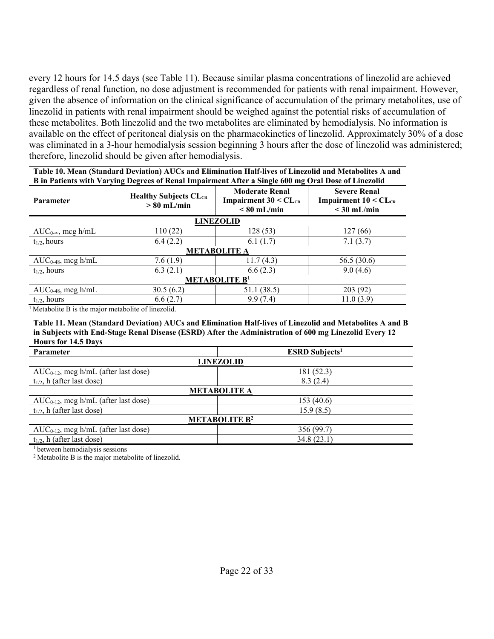every 12 hours for 14.5 days (see Table 11). Because similar plasma concentrations of linezolid are achieved regardless of renal function, no dose adjustment is recommended for patients with renal impairment. However, given the absence of information on the clinical significance of accumulation of the primary metabolites, use of linezolid in patients with renal impairment should be weighed against the potential risks of accumulation of these metabolites. Both linezolid and the two metabolites are eliminated by hemodialysis. No information is available on the effect of peritoneal dialysis on the pharmacokinetics of linezolid. Approximately 30% of a dose was eliminated in a 3-hour hemodialysis session beginning 3 hours after the dose of linezolid was administered; therefore, linezolid should be given after hemodialysis.

**Table 10. Mean (Standard Deviation) AUCs and Elimination Half-lives of Linezolid and Metabolites A and B in Patients with Varying Degrees of Renal Impairment After a Single 600 mg Oral Dose of Linezolid**

| Parameter                       | <b>Healthy Subjects CLCR</b><br>$> 80$ mL/min | <b>Moderate Renal</b><br><b>Impairment 30 &lt; <math>CL_{CR}</math></b><br>$< 80$ mL/min | <b>Severe Renal</b><br><b>Impairment 10 &lt; <math>CL_{CR}</math></b><br>$<$ 30 mL/min |  |  |
|---------------------------------|-----------------------------------------------|------------------------------------------------------------------------------------------|----------------------------------------------------------------------------------------|--|--|
| <b>LINEZOLID</b>                |                                               |                                                                                          |                                                                                        |  |  |
| AUC <sub>0-∞</sub> , mcg h/mL   | 110(22)                                       | 128(53)                                                                                  | 127 (66)                                                                               |  |  |
| $t_{1/2}$ , hours               | 6.4(2.2)                                      | 6.1(1.7)                                                                                 | 7.1(3.7)                                                                               |  |  |
| <b>METABOLITE A</b>             |                                               |                                                                                          |                                                                                        |  |  |
| $AUC_{0-48}$ , mcg h/mL         | 7.6(1.9)                                      | 11.7(4.3)                                                                                | 56.5 (30.6)                                                                            |  |  |
| $t_{1/2}$ , hours               | 6.3(2.1)                                      | 6.6(2.3)                                                                                 | 9.0(4.6)                                                                               |  |  |
| <b>METABOLITE B<sup>1</sup></b> |                                               |                                                                                          |                                                                                        |  |  |
| $AUC_{0.48}$ , mcg h/mL         | 30.5(6.2)                                     | 51.1 (38.5)                                                                              | 203 (92)                                                                               |  |  |
| $t_{1/2}$ , hours               | 6.6(2.7)                                      | 9.9(7.4)                                                                                 | 11.0(3.9)                                                                              |  |  |

 $<sup>1</sup>$  Metabolite B is the major metabolite of linezolid.</sup>

**Table 11. Mean (Standard Deviation) AUCs and Elimination Half-lives of Linezolid and Metabolites A and B in Subjects with End-Stage Renal Disease (ESRD) After the Administration of 600 mg Linezolid Every 12 Hours for 14.5 Days**

| Parameter                                 | <b>ESRD</b> Subjects <sup>1</sup> |  |  |  |
|-------------------------------------------|-----------------------------------|--|--|--|
| <b>LINEZOLID</b>                          |                                   |  |  |  |
| $AUC_{0-12}$ , mcg h/mL (after last dose) | 181 (52.3)                        |  |  |  |
| $t_{1/2}$ , h (after last dose)           | 8.3(2.4)                          |  |  |  |
| <b>METABOLITE A</b>                       |                                   |  |  |  |
| $AUC_{0-12}$ , mcg h/mL (after last dose) | 153 (40.6)                        |  |  |  |
| $t_{1/2}$ , h (after last dose)           | 15.9(8.5)                         |  |  |  |
| <b>METABOLITE B<sup>2</sup></b>           |                                   |  |  |  |
| $AUC_{0-12}$ , mcg h/mL (after last dose) | 356 (99.7)                        |  |  |  |
| $t_{1/2}$ , h (after last dose)           | 34.8(23.1)                        |  |  |  |

<sup>1</sup> between hemodialysis sessions

<sup>2</sup> Metabolite B is the major metabolite of linezolid.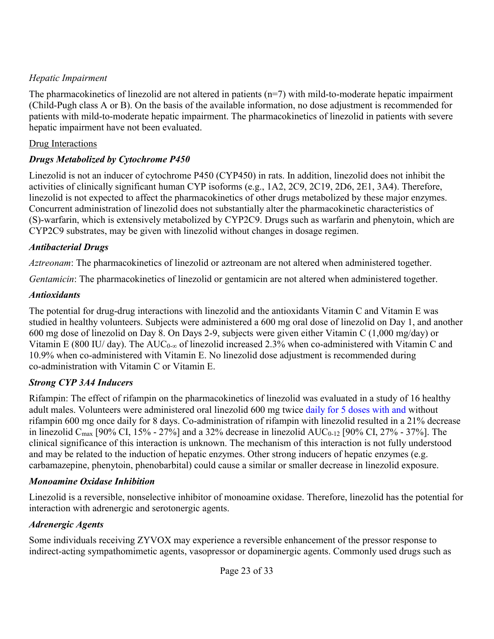### *Hepatic Impairment*

The pharmacokinetics of linezolid are not altered in patients  $(n=7)$  with mild-to-moderate hepatic impairment (Child-Pugh class A or B). On the basis of the available information, no dose adjustment is recommended for patients with mild-to-moderate hepatic impairment. The pharmacokinetics of linezolid in patients with severe hepatic impairment have not been evaluated.

### Drug Interactions

### *Drugs Metabolized by Cytochrome P450*

Linezolid is not an inducer of cytochrome P450 (CYP450) in rats. In addition, linezolid does not inhibit the activities of clinically significant human CYP isoforms (e.g., 1A2, 2C9, 2C19, 2D6, 2E1, 3A4). Therefore, linezolid is not expected to affect the pharmacokinetics of other drugs metabolized by these major enzymes. Concurrent administration of linezolid does not substantially alter the pharmacokinetic characteristics of (S)-warfarin, which is extensively metabolized by CYP2C9. Drugs such as warfarin and phenytoin, which are CYP2C9 substrates, may be given with linezolid without changes in dosage regimen.

### *Antibacterial Drugs*

*Aztreonam*: The pharmacokinetics of linezolid or aztreonam are not altered when administered together.

*Gentamicin*: The pharmacokinetics of linezolid or gentamicin are not altered when administered together.

### *Antioxidants*

The potential for drug-drug interactions with linezolid and the antioxidants Vitamin C and Vitamin E was studied in healthy volunteers. Subjects were administered a 600 mg oral dose of linezolid on Day 1, and another 600 mg dose of linezolid on Day 8. On Days 2-9, subjects were given either Vitamin C (1,000 mg/day) or Vitamin E (800 IU/ day). The AUC<sub>0-∞</sub> of linezolid increased 2.3% when co-administered with Vitamin C and 10.9% when co-administered with Vitamin E. No linezolid dose adjustment is recommended during co-administration with Vitamin C or Vitamin E.

# *Strong CYP 3A4 Inducers*

Rifampin: The effect of rifampin on the pharmacokinetics of linezolid was evaluated in a study of 16 healthy adult males. Volunteers were administered oral linezolid 600 mg twic[e daily for 5 doses with and](https://www.fda.gov/STIC) without rifampin 600 mg once daily for 8 days. Co-administration of rifampin with linezolid resulted in a 21% decrease in linezolid C<sub>max</sub> [90% CI, 15% - 27%] and a 32% decrease in linezolid AUC<sub>0-12</sub> [90% CI, 27% - 37%]. The clinical significance of this interaction is unknown. The mechanism of this interaction is not fully understood and may be related to the induction of hepatic enzymes. Other strong inducers of hepatic enzymes (e.g. carbamazepine, phenytoin, phenobarbital) could cause a similar or smaller decrease in linezolid exposure.

# *Monoamine Oxidase Inhibition*

Linezolid is a reversible, nonselective inhibitor of monoamine oxidase. Therefore, linezolid has the potential for interaction with adrenergic and serotonergic agents.

# *Adrenergic Agents*

Some individuals receiving ZYVOX may experience a reversible enhancement of the pressor response to indirect-acting sympathomimetic agents, vasopressor or dopaminergic agents. Commonly used drugs such as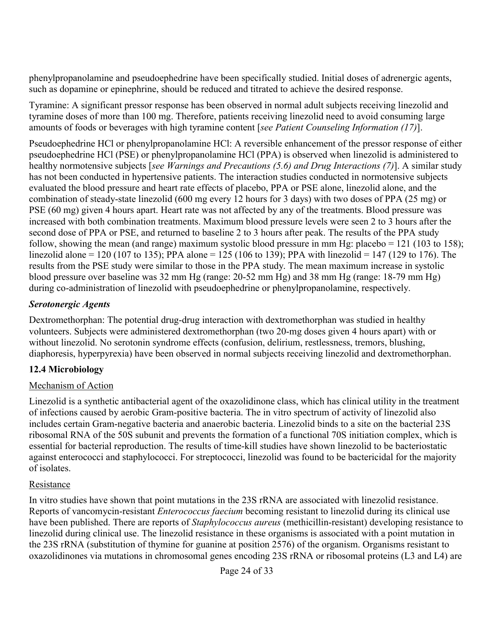phenylpropanolamine and pseudoephedrine have been specifically studied. Initial doses of adrenergic agents, such as dopamine or epinephrine, should be reduced and titrated to achieve the desired response.

Tyramine: A significant pressor response has been observed in normal adult subjects receiving linezolid and tyramine doses of more than 100 mg. Therefore, patients receiving linezolid need to avoid consuming large amounts of foods or beverages with high tyramine content [*see Patient Counseling Information (17)*].

Pseudoephedrine HCl or phenylpropanolamine HCl: A reversible enhancement of the pressor response of either pseudoephedrine HCl (PSE) or phenylpropanolamine HCl (PPA) is observed when linezolid is administered to healthy normotensive subjects [*see Warnings and Precautions (5.6) and Drug Interactions (7)*]. A similar study has not been conducted in hypertensive patients. The interaction studies conducted in normotensive subjects evaluated the blood pressure and heart rate effects of placebo, PPA or PSE alone, linezolid alone, and the combination of steady-state linezolid (600 mg every 12 hours for 3 days) with two doses of PPA (25 mg) or PSE (60 mg) given 4 hours apart. Heart rate was not affected by any of the treatments. Blood pressure was increased with both combination treatments. Maximum blood pressure levels were seen 2 to 3 hours after the second dose of PPA or PSE, and returned to baseline 2 to 3 hours after peak. The results of the PPA study follow, showing the mean (and range) maximum systolic blood pressure in mm Hg: placebo = 121 (103 to 158); linezolid alone = 120 (107 to 135); PPA alone = 125 (106 to 139); PPA with linezolid = 147 (129 to 176). The results from the PSE study were similar to those in the PPA study. The mean maximum increase in systolic blood pressure over baseline was 32 mm Hg (range: 20-52 mm Hg) and 38 mm Hg (range: 18-79 mm Hg) during co-administration of linezolid with pseudoephedrine or phenylpropanolamine, respectively.

#### *Serotonergic Agents*

Dextromethorphan: The potential drug-drug interaction with dextromethorphan was studied in healthy volunteers. Subjects were administered dextromethorphan (two 20-mg doses given 4 hours apart) with or without linezolid. No serotonin syndrome effects (confusion, delirium, restlessness, tremors, blushing, diaphoresis, hyperpyrexia) have been observed in normal subjects receiving linezolid and dextromethorphan.

### **12.4 Microbiology**

### Mechanism of Action

Linezolid is a synthetic antibacterial agent of the oxazolidinone class, which has clinical utility in the treatment of infections caused by aerobic Gram-positive bacteria. The in vitro spectrum of activity of linezolid also includes certain Gram-negative bacteria and anaerobic bacteria. Linezolid binds to a site on the bacterial 23S ribosomal RNA of the 50S subunit and prevents the formation of a functional 70S initiation complex, which is essential for bacterial reproduction. The results of time-kill studies have shown linezolid to be bacteriostatic against enterococci and staphylococci. For streptococci, linezolid was found to be bactericidal for the majority of isolates.

### Resistance

In vitro studies have shown that point mutations in the 23S rRNA are associated with linezolid resistance. Reports of vancomycin-resistant *Enterococcus faecium* becoming resistant to linezolid during its clinical use have been published. There are reports of *Staphylococcus aureus* (methicillin-resistant) developing resistance to linezolid during clinical use. The linezolid resistance in these organisms is associated with a point mutation in the 23S rRNA (substitution of thymine for guanine at position 2576) of the organism. Organisms resistant to oxazolidinones via mutations in chromosomal genes encoding 23S rRNA or ribosomal proteins (L3 and L4) are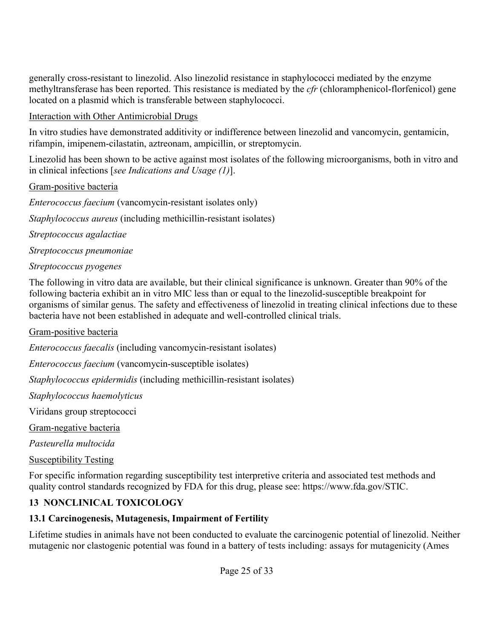generally cross-resistant to linezolid. Also linezolid resistance in staphylococci mediated by the enzyme methyltransferase has been reported. This resistance is mediated by the *cfr* (chloramphenicol-florfenicol) gene located on a plasmid which is transferable between staphylococci.

#### Interaction with Other Antimicrobial Drugs

In vitro studies have demonstrated additivity or indifference between linezolid and vancomycin, gentamicin, rifampin, imipenem-cilastatin, aztreonam, ampicillin, or streptomycin.

Linezolid has been shown to be active against most isolates of the following microorganisms, both in vitro and in clinical infections [*see Indications and Usage (1)*].

#### Gram-positive bacteria

*Enterococcus faecium* (vancomycin-resistant isolates only)

*Staphylococcus aureus* (including methicillin-resistant isolates)

*Streptococcus agalactiae*

*Streptococcus pneumoniae* 

### *Streptococcus pyogenes*

The following in vitro data are available, but their clinical significance is unknown. Greater than 90% of the following bacteria exhibit an in vitro MIC less than or equal to the linezolid-susceptible breakpoint for organisms of similar genus. The safety and effectiveness of linezolid in treating clinical infections due to these bacteria have not been established in adequate and well-controlled clinical trials.

### Gram-positive bacteria

*Enterococcus faecalis* (including vancomycin-resistant isolates)

*Enterococcus faecium* (vancomycin-susceptible isolates)

*Staphylococcus epidermidis* (including methicillin-resistant isolates)

*Staphylococcus haemolyticus*

Viridans group streptococci

Gram-negative bacteria

*Pasteurella multocida*

Susceptibility Testing

For specific information regarding susceptibility test interpretive criteria and associated test methods and quality control standards recognized by FDA for this drug, please see: https://www.fda.gov/STIC.

# **13 NONCLINICAL TOXICOLOGY**

### **13.1 Carcinogenesis, Mutagenesis, Impairment of Fertility**

Lifetime studies in animals have not been conducted to evaluate the carcinogenic potential of linezolid. Neither mutagenic nor clastogenic potential was found in a battery of tests including: assays for mutagenicity (Ames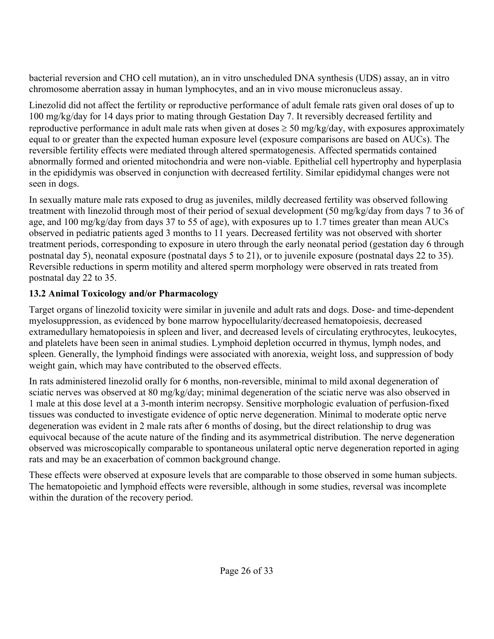bacterial reversion and CHO cell mutation), an in vitro unscheduled DNA synthesis (UDS) assay, an in vitro chromosome aberration assay in human lymphocytes, and an in vivo mouse micronucleus assay.

Linezolid did not affect the fertility or reproductive performance of adult female rats given oral doses of up to 100 mg/kg/day for 14 days prior to mating through Gestation Day 7. It reversibly decreased fertility and reproductive performance in adult male rats when given at doses  $\geq$  50 mg/kg/day, with exposures approximately equal to or greater than the expected human exposure level (exposure comparisons are based on AUCs). The reversible fertility effects were mediated through altered spermatogenesis. Affected spermatids contained abnormally formed and oriented mitochondria and were non-viable. Epithelial cell hypertrophy and hyperplasia in the epididymis was observed in conjunction with decreased fertility. Similar epididymal changes were not seen in dogs.

In sexually mature male rats exposed to drug as juveniles, mildly decreased fertility was observed following treatment with linezolid through most of their period of sexual development (50 mg/kg/day from days 7 to 36 of age, and 100 mg/kg/day from days 37 to 55 of age), with exposures up to 1.7 times greater than mean AUCs observed in pediatric patients aged 3 months to 11 years. Decreased fertility was not observed with shorter treatment periods, corresponding to exposure in utero through the early neonatal period (gestation day 6 through postnatal day 5), neonatal exposure (postnatal days 5 to 21), or to juvenile exposure (postnatal days 22 to 35). Reversible reductions in sperm motility and altered sperm morphology were observed in rats treated from postnatal day 22 to 35.

### **13.2 Animal Toxicology and/or Pharmacology**

Target organs of linezolid toxicity were similar in juvenile and adult rats and dogs. Dose- and time-dependent myelosuppression, as evidenced by bone marrow hypocellularity/decreased hematopoiesis, decreased extramedullary hematopoiesis in spleen and liver, and decreased levels of circulating erythrocytes, leukocytes, and platelets have been seen in animal studies. Lymphoid depletion occurred in thymus, lymph nodes, and spleen. Generally, the lymphoid findings were associated with anorexia, weight loss, and suppression of body weight gain, which may have contributed to the observed effects.

In rats administered linezolid orally for 6 months, non-reversible, minimal to mild axonal degeneration of sciatic nerves was observed at 80 mg/kg/day; minimal degeneration of the sciatic nerve was also observed in 1 male at this dose level at a 3-month interim necropsy. Sensitive morphologic evaluation of perfusion-fixed tissues was conducted to investigate evidence of optic nerve degeneration. Minimal to moderate optic nerve degeneration was evident in 2 male rats after 6 months of dosing, but the direct relationship to drug was equivocal because of the acute nature of the finding and its asymmetrical distribution. The nerve degeneration observed was microscopically comparable to spontaneous unilateral optic nerve degeneration reported in aging rats and may be an exacerbation of common background change.

These effects were observed at exposure levels that are comparable to those observed in some human subjects. The hematopoietic and lymphoid effects were reversible, although in some studies, reversal was incomplete within the duration of the recovery period.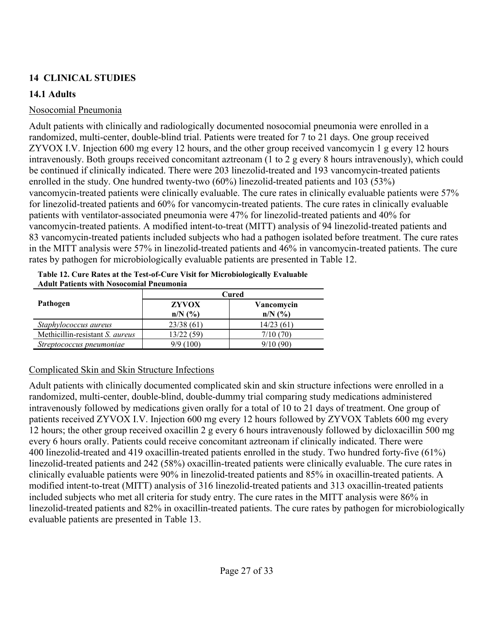### **14 CLINICAL STUDIES**

### **14.1 Adults**

### Nosocomial Pneumonia

Adult patients with clinically and radiologically documented nosocomial pneumonia were enrolled in a randomized, multi-center, double-blind trial. Patients were treated for 7 to 21 days. One group received ZYVOX I.V. Injection 600 mg every 12 hours, and the other group received vancomycin 1 g every 12 hours intravenously. Both groups received concomitant aztreonam (1 to 2 g every 8 hours intravenously), which could be continued if clinically indicated. There were 203 linezolid-treated and 193 vancomycin-treated patients enrolled in the study. One hundred twenty-two (60%) linezolid-treated patients and 103 (53%) vancomycin-treated patients were clinically evaluable. The cure rates in clinically evaluable patients were 57% for linezolid-treated patients and 60% for vancomycin-treated patients. The cure rates in clinically evaluable patients with ventilator-associated pneumonia were 47% for linezolid-treated patients and 40% for vancomycin-treated patients. A modified intent-to-treat (MITT) analysis of 94 linezolid-treated patients and 83 vancomycin-treated patients included subjects who had a pathogen isolated before treatment. The cure rates in the MITT analysis were 57% in linezolid-treated patients and 46% in vancomycin-treated patients. The cure rates by pathogen for microbiologically evaluable patients are presented in Table 12.

|                                 | Cured                     |                         |  |
|---------------------------------|---------------------------|-------------------------|--|
| Pathogen                        | <b>ZYVOX</b><br>$n/N$ (%) | Vancomycin<br>$n/N$ (%) |  |
| Staphylococcus aureus           | 23/38(61)                 | 14/23(61)               |  |
| Methicillin-resistant S. aureus | 13/22 (59)                | 7/10(70)                |  |
| Streptococcus pneumoniae        | 9/9(100)                  | 9/10(90)                |  |

**Table 12. Cure Rates at the Test-of-Cure Visit for Microbiologically Evaluable Adult Patients with Nosocomial Pneumonia**

# Complicated Skin and Skin Structure Infections

Adult patients with clinically documented complicated skin and skin structure infections were enrolled in a randomized, multi-center, double-blind, double-dummy trial comparing study medications administered intravenously followed by medications given orally for a total of 10 to 21 days of treatment. One group of patients received ZYVOX I.V. Injection 600 mg every 12 hours followed by ZYVOX Tablets 600 mg every 12 hours; the other group received oxacillin 2 g every 6 hours intravenously followed by dicloxacillin 500 mg every 6 hours orally. Patients could receive concomitant aztreonam if clinically indicated. There were 400 linezolid-treated and 419 oxacillin-treated patients enrolled in the study. Two hundred forty-five (61%) linezolid-treated patients and 242 (58%) oxacillin-treated patients were clinically evaluable. The cure rates in clinically evaluable patients were 90% in linezolid-treated patients and 85% in oxacillin-treated patients. A modified intent-to-treat (MITT) analysis of 316 linezolid-treated patients and 313 oxacillin-treated patients included subjects who met all criteria for study entry. The cure rates in the MITT analysis were 86% in linezolid-treated patients and 82% in oxacillin-treated patients. The cure rates by pathogen for microbiologically evaluable patients are presented in Table 13.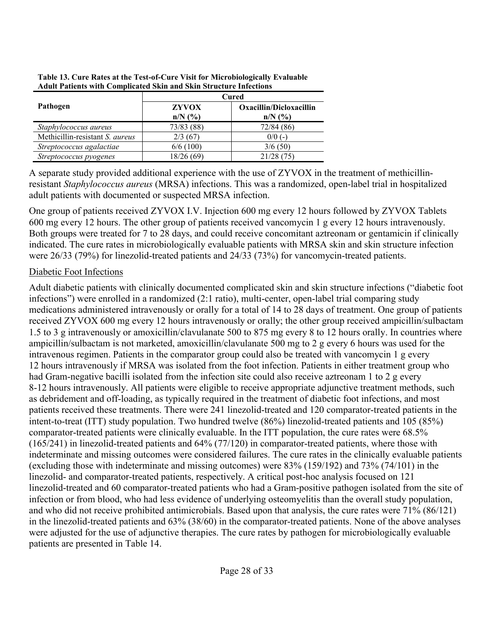|                                 | Cured                     |                                      |  |  |
|---------------------------------|---------------------------|--------------------------------------|--|--|
| Pathogen                        | <b>ZYVOX</b><br>$n/N$ (%) | Oxacillin/Dicloxacillin<br>$n/N$ (%) |  |  |
| Staphylococcus aureus           | 73/83 (88)                | 72/84 (86)                           |  |  |
| Methicillin-resistant S. aureus | $2/3$ (67)                |                                      |  |  |
| Streptococcus agalactiae        | 6/6(100)                  | 3/6(50)                              |  |  |
| Streptococcus pyogenes          | 18/26 (69)                | 21/28 (75                            |  |  |

**Table 13. Cure Rates at the Test-of-Cure Visit for Microbiologically Evaluable Adult Patients with Complicated Skin and Skin Structure Infections**

A separate study provided additional experience with the use of ZYVOX in the treatment of methicillinresistant *Staphylococcus aureus* (MRSA) infections. This was a randomized, open-label trial in hospitalized adult patients with documented or suspected MRSA infection.

One group of patients received ZYVOX I.V. Injection 600 mg every 12 hours followed by ZYVOX Tablets 600 mg every 12 hours. The other group of patients received vancomycin 1 g every 12 hours intravenously. Both groups were treated for 7 to 28 days, and could receive concomitant aztreonam or gentamicin if clinically indicated. The cure rates in microbiologically evaluable patients with MRSA skin and skin structure infection were 26/33 (79%) for linezolid-treated patients and 24/33 (73%) for vancomycin-treated patients.

#### Diabetic Foot Infections

Adult diabetic patients with clinically documented complicated skin and skin structure infections ("diabetic foot infections") were enrolled in a randomized (2:1 ratio), multi-center, open-label trial comparing study medications administered intravenously or orally for a total of 14 to 28 days of treatment. One group of patients received ZYVOX 600 mg every 12 hours intravenously or orally; the other group received ampicillin/sulbactam 1.5 to 3 g intravenously or amoxicillin/clavulanate 500 to 875 mg every 8 to 12 hours orally. In countries where ampicillin/sulbactam is not marketed, amoxicillin/clavulanate 500 mg to 2 g every 6 hours was used for the intravenous regimen. Patients in the comparator group could also be treated with vancomycin 1 g every 12 hours intravenously if MRSA was isolated from the foot infection. Patients in either treatment group who had Gram-negative bacilli isolated from the infection site could also receive aztreonam 1 to 2 g every 8-12 hours intravenously. All patients were eligible to receive appropriate adjunctive treatment methods, such as debridement and off-loading, as typically required in the treatment of diabetic foot infections, and most patients received these treatments. There were 241 linezolid-treated and 120 comparator-treated patients in the intent-to-treat (ITT) study population. Two hundred twelve (86%) linezolid-treated patients and 105 (85%) comparator-treated patients were clinically evaluable. In the ITT population, the cure rates were 68.5% (165/241) in linezolid-treated patients and 64% (77/120) in comparator-treated patients, where those with indeterminate and missing outcomes were considered failures. The cure rates in the clinically evaluable patients (excluding those with indeterminate and missing outcomes) were 83% (159/192) and 73% (74/101) in the linezolid- and comparator-treated patients, respectively. A critical post-hoc analysis focused on 121 linezolid-treated and 60 comparator-treated patients who had a Gram-positive pathogen isolated from the site of infection or from blood, who had less evidence of underlying osteomyelitis than the overall study population, and who did not receive prohibited antimicrobials. Based upon that analysis, the cure rates were 71% (86/121) in the linezolid-treated patients and 63% (38/60) in the comparator-treated patients. None of the above analyses were adjusted for the use of adjunctive therapies. The cure rates by pathogen for microbiologically evaluable patients are presented in Table 14.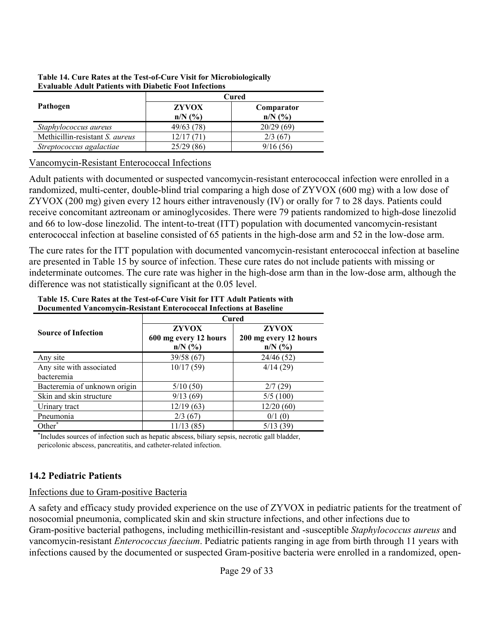|                                 | Cured                     |                         |  |
|---------------------------------|---------------------------|-------------------------|--|
| Pathogen                        | <b>ZYVOX</b><br>$n/N$ (%) | Comparator<br>$n/N$ (%) |  |
| Staphylococcus aureus           | 49/63 (78)                | 20/29(69)               |  |
| Methicillin-resistant S. aureus | 12/17(71)                 | 2/3(67)                 |  |
| Streptococcus agalactiae        | 25/29(86)                 | 9/16(56)                |  |

**Table 14. Cure Rates at the Test-of-Cure Visit for Microbiologically Evaluable Adult Patients with Diabetic Foot Infections**

#### Vancomycin-Resistant Enterococcal Infections

Adult patients with documented or suspected vancomycin-resistant enterococcal infection were enrolled in a randomized, multi-center, double-blind trial comparing a high dose of ZYVOX (600 mg) with a low dose of ZYVOX (200 mg) given every 12 hours either intravenously (IV) or orally for 7 to 28 days. Patients could receive concomitant aztreonam or aminoglycosides. There were 79 patients randomized to high-dose linezolid and 66 to low-dose linezolid. The intent-to-treat (ITT) population with documented vancomycin-resistant enterococcal infection at baseline consisted of 65 patients in the high-dose arm and 52 in the low-dose arm.

The cure rates for the ITT population with documented vancomycin-resistant enterococcal infection at baseline are presented in Table 15 by source of infection. These cure rates do not include patients with missing or indeterminate outcomes. The cure rate was higher in the high-dose arm than in the low-dose arm, although the difference was not statistically significant at the 0.05 level.

|                                        | Documentou + ancom ; em reconstant miter ococean miternomo at Daocime<br>Cured |                                                    |  |  |
|----------------------------------------|--------------------------------------------------------------------------------|----------------------------------------------------|--|--|
| <b>Source of Infection</b>             | <b>ZYVOX</b><br>600 mg every 12 hours<br>$n/N$ (%)                             | <b>ZYVOX</b><br>200 mg every 12 hours<br>$n/N$ (%) |  |  |
| Any site                               | 39/58(67)                                                                      | 24/46 (52)                                         |  |  |
| Any site with associated<br>bacteremia | 10/17(59)                                                                      | 4/14(29)                                           |  |  |
| Bacteremia of unknown origin           | 5/10(50)                                                                       | 2/7(29)                                            |  |  |
| Skin and skin structure                | 9/13(69)                                                                       | 5/5(100)                                           |  |  |
| Urinary tract                          | 12/19(63)                                                                      | 12/20(60)                                          |  |  |
| Pneumonia                              | 2/3(67)                                                                        | 0/1(0)                                             |  |  |
| Other <sup>*</sup>                     | 11/13(85)                                                                      | 5/13(39)                                           |  |  |

**Table 15. Cure Rates at the Test-of-Cure Visit for ITT Adult Patients with Documented Vancomycin-Resistant Enterococcal Infections at Baseline**

\* Includes sources of infection such as hepatic abscess, biliary sepsis, necrotic gall bladder, pericolonic abscess, pancreatitis, and catheter-related infection.

### **14.2 Pediatric Patients**

#### Infections due to Gram-positive Bacteria

A safety and efficacy study provided experience on the use of ZYVOX in pediatric patients for the treatment of nosocomial pneumonia, complicated skin and skin structure infections, and other infections due to Gram-positive bacterial pathogens, including methicillin-resistant and -susceptible *Staphylococcus aureus* and vancomycin-resistant *Enterococcus faecium*. Pediatric patients ranging in age from birth through 11 years with infections caused by the documented or suspected Gram-positive bacteria were enrolled in a randomized, open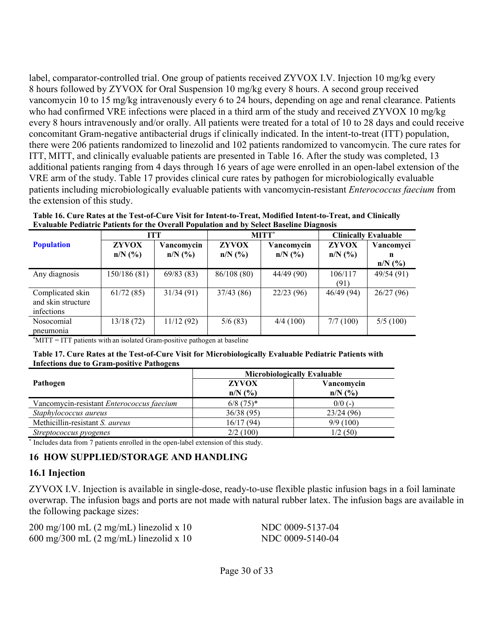label, comparator-controlled trial. One group of patients received ZYVOX I.V. Injection 10 mg/kg every 8 hours followed by ZYVOX for Oral Suspension 10 mg/kg every 8 hours. A second group received vancomycin 10 to 15 mg/kg intravenously every 6 to 24 hours, depending on age and renal clearance. Patients who had confirmed VRE infections were placed in a third arm of the study and received ZYVOX 10 mg/kg every 8 hours intravenously and/or orally. All patients were treated for a total of 10 to 28 days and could receive concomitant Gram-negative antibacterial drugs if clinically indicated. In the intent-to-treat (ITT) population, there were 206 patients randomized to linezolid and 102 patients randomized to vancomycin. The cure rates for ITT, MITT, and clinically evaluable patients are presented in Table 16. After the study was completed, 13 additional patients ranging from 4 days through 16 years of age were enrolled in an open-label extension of the VRE arm of the study. Table 17 provides clinical cure rates by pathogen for microbiologically evaluable patients including microbiologically evaluable patients with vancomycin-resistant *Enterococcus faecium* from the extension of this study.

| Table 16. Cure Rates at the Test-of-Cure Visit for Intent-to-Treat, Modified Intent-to-Treat, and Clinically |
|--------------------------------------------------------------------------------------------------------------|
| <b>Evaluable Pediatric Patients for the Overall Population and by Select Baseline Diagnosis</b>              |

|                                                      | <b>ITT</b>                |                         | MITT*                     |                         | <b>Clinically Evaluable</b> |                             |
|------------------------------------------------------|---------------------------|-------------------------|---------------------------|-------------------------|-----------------------------|-----------------------------|
| <b>Population</b>                                    | <b>ZYVOX</b><br>$n/N$ (%) | Vancomycin<br>$n/N$ (%) | <b>ZYVOX</b><br>$n/N$ (%) | Vancomycin<br>$n/N$ (%) | <b>ZYVOX</b><br>$n/N$ (%)   | Vancomyci<br>n<br>$n/N$ (%) |
| Any diagnosis                                        | 150/186 (81)              | 69/83(83)               | 86/108 (80)               | 44/49 (90)              | 106/117<br>(91)             | 49/54 (91)                  |
| Complicated skin<br>and skin structure<br>infections | 61/72(85)                 | 31/34(91)               | 37/43(86)                 | 22/23(96)               | 46/49 (94)                  | 26/27(96)                   |
| Nosocomial<br>pneumonia                              | 13/18(72)                 | 11/12(92)               | 5/6(83)                   | 4/4(100)                | 7/7(100)                    | 5/5(100)                    |

\*MITT = ITT patients with an isolated Gram-positive pathogen at baseline

**Table 17. Cure Rates at the Test-of-Cure Visit for Microbiologically Evaluable Pediatric Patients with Infections due to Gram-positive Pathogens**

|                                           | <b>Microbiologically Evaluable</b> |                         |  |
|-------------------------------------------|------------------------------------|-------------------------|--|
| Pathogen                                  | <b>ZYVOX</b><br>$n/N$ (%)          | Vancomycin<br>$n/N$ (%) |  |
| Vancomycin-resistant Enterococcus faecium | $6/8$ (75)*                        | $0/0$ (-)               |  |
| Staphylococcus aureus                     | 36/38(95)                          | 23/24(96)               |  |
| Methicillin-resistant S. aureus           | 16/17 (94)                         | 9/9(100)                |  |
| Streptococcus pyogenes                    | 2/2(100)                           | 1/2(50)                 |  |

**\*** Includes data from 7 patients enrolled in the open-label extension of this study.

#### **16 HOW SUPPLIED/STORAGE AND HANDLING**

#### **16.1 Injection**

ZYVOX I.V. Injection is available in single-dose, ready-to-use flexible plastic infusion bags in a foil laminate overwrap. The infusion bags and ports are not made with natural rubber latex. The infusion bags are available in the following package sizes:

| $200 \text{ mg}/100 \text{ mL}$ (2 mg/mL) linezolid x 10 | NDC 0009-5137-04 |
|----------------------------------------------------------|------------------|
| 600 mg/300 mL $(2 \text{ mg/mL})$ linezolid x 10         | NDC 0009-5140-04 |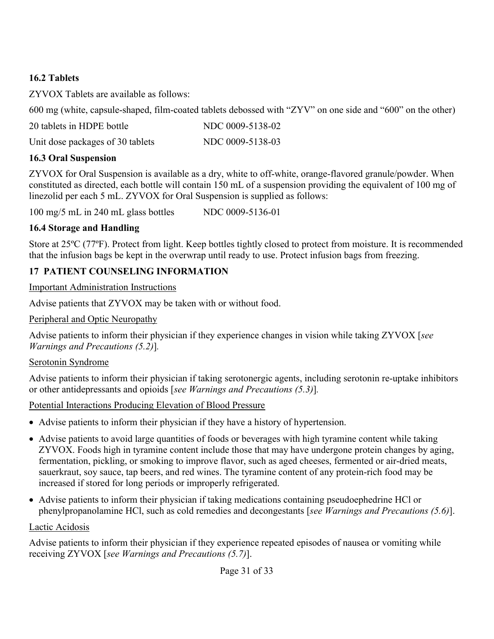#### **16.2 Tablets**

ZYVOX Tablets are available as follows:

600 mg (white, capsule-shaped, film-coated tablets debossed with "ZYV" on one side and "600" on the other)

20 tablets in HDPE bottle NDC 0009-5138-02

Unit dose packages of 30 tablets NDC 0009-5138-03

#### **16.3 Oral Suspension**

ZYVOX for Oral Suspension is available as a dry, white to off-white, orange-flavored granule/powder. When constituted as directed, each bottle will contain 150 mL of a suspension providing the equivalent of 100 mg of linezolid per each 5 mL. ZYVOX for Oral Suspension is supplied as follows:

100 mg/5 mL in 240 mL glass bottles NDC 0009-5136-01

### **16.4 Storage and Handling**

Store at 25ºC (77ºF). Protect from light. Keep bottles tightly closed to protect from moisture. It is recommended that the infusion bags be kept in the overwrap until ready to use. Protect infusion bags from freezing.

### **17 PATIENT COUNSELING INFORMATION**

Important Administration Instructions

Advise patients that ZYVOX may be taken with or without food.

Peripheral and Optic Neuropathy

Advise patients to inform their physician if they experience changes in vision while taking ZYVOX [*see Warnings and Precautions (5.2)*]*.* 

#### Serotonin Syndrome

Advise patients to inform their physician if taking serotonergic agents, including serotonin re-uptake inhibitors or other antidepressants and opioids [*see Warnings and Precautions (5.3)*]*.*

Potential Interactions Producing Elevation of Blood Pressure

- Advise patients to inform their physician if they have a history of hypertension.
- Advise patients to avoid large quantities of foods or beverages with high tyramine content while taking ZYVOX. Foods high in tyramine content include those that may have undergone protein changes by aging, fermentation, pickling, or smoking to improve flavor, such as aged cheeses, fermented or air-dried meats, sauerkraut, soy sauce, tap beers, and red wines. The tyramine content of any protein-rich food may be increased if stored for long periods or improperly refrigerated.
- Advise patients to inform their physician if taking medications containing pseudoephedrine HCl or phenylpropanolamine HCl, such as cold remedies and decongestants [*see Warnings and Precautions (5.6)*].

#### Lactic Acidosis

Advise patients to inform their physician if they experience repeated episodes of nausea or vomiting while receiving ZYVOX [*see Warnings and Precautions (5.7)*].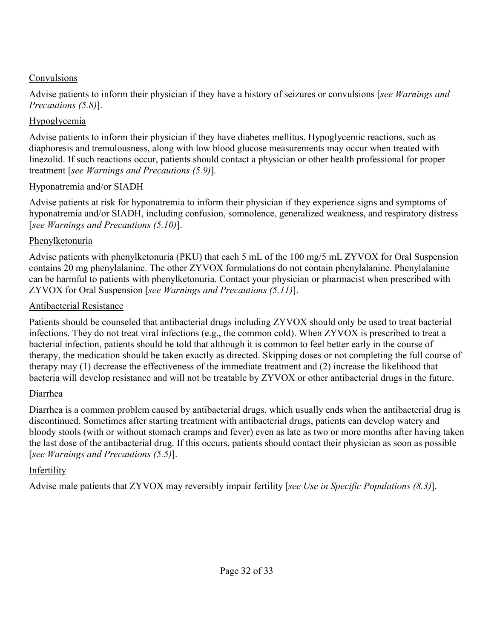### Convulsions

Advise patients to inform their physician if they have a history of seizures or convulsions [*see Warnings and Precautions (5.8)*].

### Hypoglycemia

Advise patients to inform their physician if they have diabetes mellitus. Hypoglycemic reactions, such as diaphoresis and tremulousness, along with low blood glucose measurements may occur when treated with linezolid. If such reactions occur, patients should contact a physician or other health professional for proper treatment [*see Warnings and Precautions (5.9)*]*.*

### Hyponatremia and/or SIADH

Advise patients at risk for hyponatremia to inform their physician if they experience signs and symptoms of hyponatremia and/or SIADH, including confusion, somnolence, generalized weakness, and respiratory distress [*see Warnings and Precautions (5.10)*].

### Phenylketonuria

Advise patients with phenylketonuria (PKU) that each 5 mL of the 100 mg/5 mL ZYVOX for Oral Suspension contains 20 mg phenylalanine. The other ZYVOX formulations do not contain phenylalanine. Phenylalanine can be harmful to patients with phenylketonuria. Contact your physician or pharmacist when prescribed with ZYVOX for Oral Suspension [*see Warnings and Precautions (5.11)*].

### Antibacterial Resistance

Patients should be counseled that antibacterial drugs including ZYVOX should only be used to treat bacterial infections. They do not treat viral infections (e.g., the common cold). When ZYVOX is prescribed to treat a bacterial infection, patients should be told that although it is common to feel better early in the course of therapy, the medication should be taken exactly as directed. Skipping doses or not completing the full course of therapy may (1) decrease the effectiveness of the immediate treatment and (2) increase the likelihood that bacteria will develop resistance and will not be treatable by ZYVOX or other antibacterial drugs in the future.

### Diarrhea

Diarrhea is a common problem caused by antibacterial drugs, which usually ends when the antibacterial drug is discontinued. Sometimes after starting treatment with antibacterial drugs, patients can develop watery and bloody stools (with or without stomach cramps and fever) even as late as two or more months after having taken the last dose of the antibacterial drug. If this occurs, patients should contact their physician as soon as possible [*see Warnings and Precautions (5.5)*].

### Infertility

Advise male patients that ZYVOX may reversibly impair fertility [*see Use in Specific Populations (8.3)*].